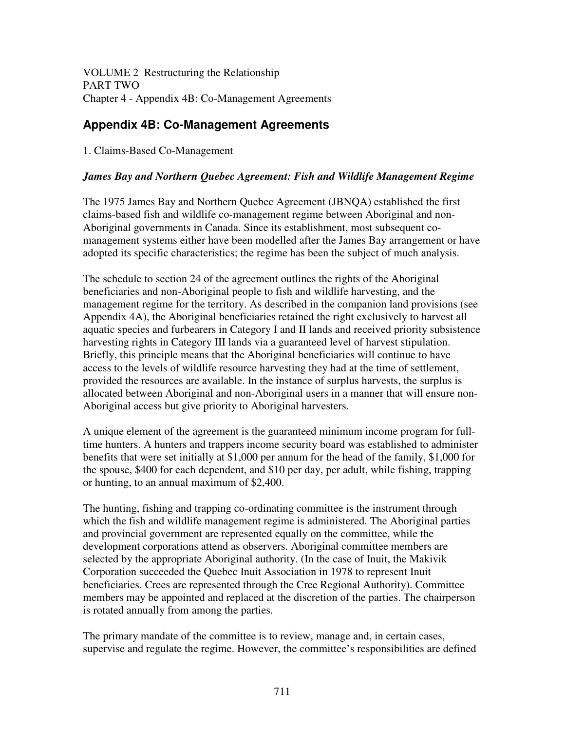VOLUME 2 Restructuring the Relationship PART TWO Chapter 4 - Appendix 4B: Co-Management Agreements

# **Appendix 4B: Co-Management Agreements**

1. Claims-Based Co-Management

## *James Bay and Northern Quebec Agreement: Fish and Wildlife Management Regime*

The 1975 James Bay and Northern Quebec Agreement (JBNQA) established the first claims-based fish and wildlife co-management regime between Aboriginal and non-Aboriginal governments in Canada. Since its establishment, most subsequent comanagement systems either have been modelled after the James Bay arrangement or have adopted its specific characteristics; the regime has been the subject of much analysis.

The schedule to section 24 of the agreement outlines the rights of the Aboriginal beneficiaries and non-Aboriginal people to fish and wildlife harvesting, and the management regime for the territory. As described in the companion land provisions (see Appendix 4A), the Aboriginal beneficiaries retained the right exclusively to harvest all aquatic species and furbearers in Category I and II lands and received priority subsistence harvesting rights in Category III lands via a guaranteed level of harvest stipulation. Briefly, this principle means that the Aboriginal beneficiaries will continue to have access to the levels of wildlife resource harvesting they had at the time of settlement, provided the resources are available. In the instance of surplus harvests, the surplus is allocated between Aboriginal and non-Aboriginal users in a manner that will ensure non-Aboriginal access but give priority to Aboriginal harvesters.

A unique element of the agreement is the guaranteed minimum income program for fulltime hunters. A hunters and trappers income security board was established to administer benefits that were set initially at \$1,000 per annum for the head of the family, \$1,000 for the spouse, \$400 for each dependent, and \$10 per day, per adult, while fishing, trapping or hunting, to an annual maximum of \$2,400.

The hunting, fishing and trapping co-ordinating committee is the instrument through which the fish and wildlife management regime is administered. The Aboriginal parties and provincial government are represented equally on the committee, while the development corporations attend as observers. Aboriginal committee members are selected by the appropriate Aboriginal authority. (In the case of Inuit, the Makivik Corporation succeeded the Quebec Inuit Association in 1978 to represent Inuit beneficiaries. Crees are represented through the Cree Regional Authority). Committee members may be appointed and replaced at the discretion of the parties. The chairperson is rotated annually from among the parties.

The primary mandate of the committee is to review, manage and, in certain cases, supervise and regulate the regime. However, the committee's responsibilities are defined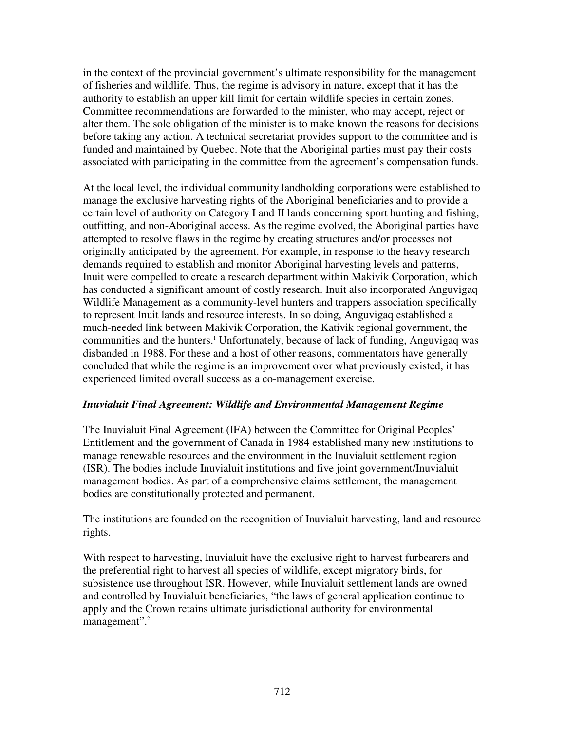in the context of the provincial government's ultimate responsibility for the management of fisheries and wildlife. Thus, the regime is advisory in nature, except that it has the authority to establish an upper kill limit for certain wildlife species in certain zones. Committee recommendations are forwarded to the minister, who may accept, reject or alter them. The sole obligation of the minister is to make known the reasons for decisions before taking any action. A technical secretariat provides support to the committee and is funded and maintained by Quebec. Note that the Aboriginal parties must pay their costs associated with participating in the committee from the agreement's compensation funds.

At the local level, the individual community landholding corporations were established to manage the exclusive harvesting rights of the Aboriginal beneficiaries and to provide a certain level of authority on Category I and II lands concerning sport hunting and fishing, outfitting, and non-Aboriginal access. As the regime evolved, the Aboriginal parties have attempted to resolve flaws in the regime by creating structures and/or processes not originally anticipated by the agreement. For example, in response to the heavy research demands required to establish and monitor Aboriginal harvesting levels and patterns, Inuit were compelled to create a research department within Makivik Corporation, which has conducted a significant amount of costly research. Inuit also incorporated Anguvigaq Wildlife Management as a community-level hunters and trappers association specifically to represent Inuit lands and resource interests. In so doing, Anguvigaq established a much-needed link between Makivik Corporation, the Kativik regional government, the communities and the hunters. <sup>1</sup> Unfortunately, because of lack of funding, Anguvigaq was disbanded in 1988. For these and a host of other reasons, commentators have generally concluded that while the regime is an improvement over what previously existed, it has experienced limited overall success as a co-management exercise.

## *Inuvialuit Final Agreement: Wildlife and Environmental Management Regime*

The Inuvialuit Final Agreement (IFA) between the Committee for Original Peoples' Entitlement and the government of Canada in 1984 established many new institutions to manage renewable resources and the environment in the Inuvialuit settlement region (ISR). The bodies include Inuvialuit institutions and five joint government/Inuvialuit management bodies. As part of a comprehensive claims settlement, the management bodies are constitutionally protected and permanent.

The institutions are founded on the recognition of Inuvialuit harvesting, land and resource rights.

With respect to harvesting, Inuvialuit have the exclusive right to harvest furbearers and the preferential right to harvest all species of wildlife, except migratory birds, for subsistence use throughout ISR. However, while Inuvialuit settlement lands are owned and controlled by Inuvialuit beneficiaries, "the laws of general application continue to apply and the Crown retains ultimate jurisdictional authority for environmental management".<sup>2</sup>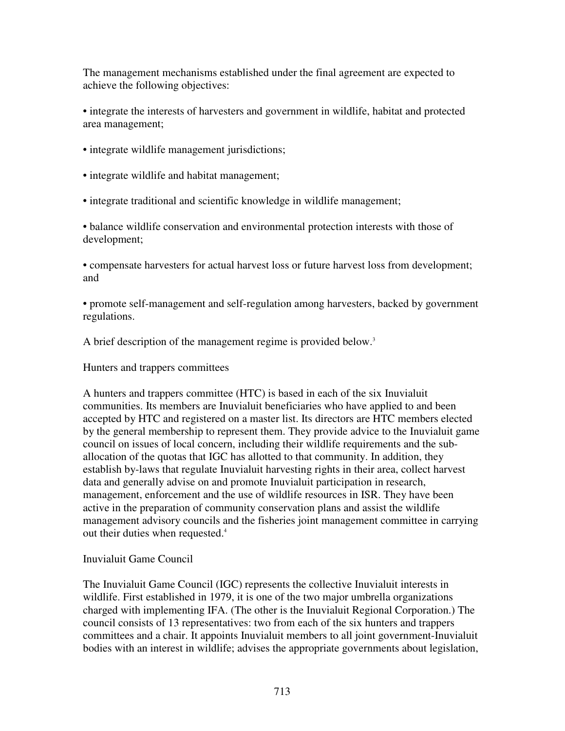The management mechanisms established under the final agreement are expected to achieve the following objectives:

• integrate the interests of harvesters and government in wildlife, habitat and protected area management;

• integrate wildlife management jurisdictions;

• integrate wildlife and habitat management;

• integrate traditional and scientific knowledge in wildlife management;

• balance wildlife conservation and environmental protection interests with those of development;

• compensate harvesters for actual harvest loss or future harvest loss from development; and

• promote self-management and self-regulation among harvesters, backed by government regulations.

A brief description of the management regime is provided below. 3

Hunters and trappers committees

A hunters and trappers committee (HTC) is based in each of the six Inuvialuit communities. Its members are Inuvialuit beneficiaries who have applied to and been accepted by HTC and registered on a master list. Its directors are HTC members elected by the general membership to represent them. They provide advice to the Inuvialuit game council on issues of local concern, including their wildlife requirements and the suballocation of the quotas that IGC has allotted to that community. In addition, they establish by-laws that regulate Inuvialuit harvesting rights in their area, collect harvest data and generally advise on and promote Inuvialuit participation in research, management, enforcement and the use of wildlife resources in ISR. They have been active in the preparation of community conservation plans and assist the wildlife management advisory councils and the fisheries joint management committee in carrying out their duties when requested. 4

#### Inuvialuit Game Council

The Inuvialuit Game Council (IGC) represents the collective Inuvialuit interests in wildlife. First established in 1979, it is one of the two major umbrella organizations charged with implementing IFA. (The other is the Inuvialuit Regional Corporation.) The council consists of 13 representatives: two from each of the six hunters and trappers committees and a chair. It appoints Inuvialuit members to all joint government-Inuvialuit bodies with an interest in wildlife; advises the appropriate governments about legislation,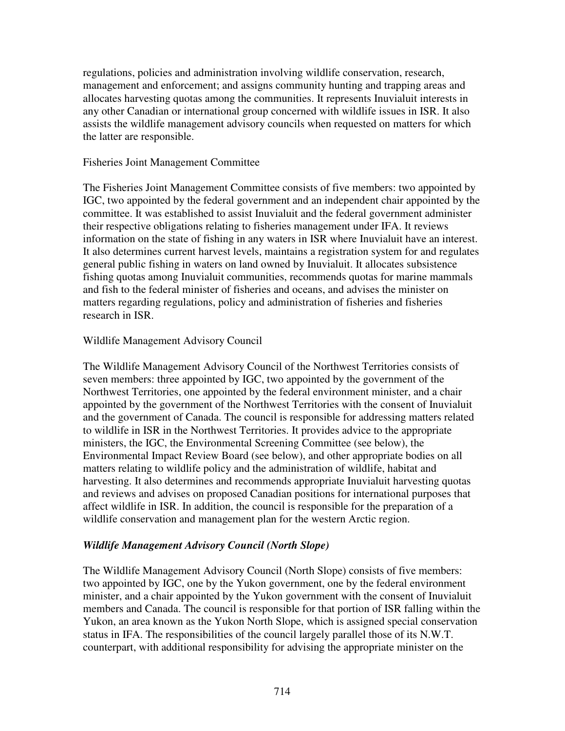regulations, policies and administration involving wildlife conservation, research, management and enforcement; and assigns community hunting and trapping areas and allocates harvesting quotas among the communities. It represents Inuvialuit interests in any other Canadian or international group concerned with wildlife issues in ISR. It also assists the wildlife management advisory councils when requested on matters for which the latter are responsible.

#### Fisheries Joint Management Committee

The Fisheries Joint Management Committee consists of five members: two appointed by IGC, two appointed by the federal government and an independent chair appointed by the committee. It was established to assist Inuvialuit and the federal government administer their respective obligations relating to fisheries management under IFA. It reviews information on the state of fishing in any waters in ISR where Inuvialuit have an interest. It also determines current harvest levels, maintains a registration system for and regulates general public fishing in waters on land owned by Inuvialuit. It allocates subsistence fishing quotas among Inuvialuit communities, recommends quotas for marine mammals and fish to the federal minister of fisheries and oceans, and advises the minister on matters regarding regulations, policy and administration of fisheries and fisheries research in ISR.

#### Wildlife Management Advisory Council

The Wildlife Management Advisory Council of the Northwest Territories consists of seven members: three appointed by IGC, two appointed by the government of the Northwest Territories, one appointed by the federal environment minister, and a chair appointed by the government of the Northwest Territories with the consent of Inuvialuit and the government of Canada. The council is responsible for addressing matters related to wildlife in ISR in the Northwest Territories. It provides advice to the appropriate ministers, the IGC, the Environmental Screening Committee (see below), the Environmental Impact Review Board (see below), and other appropriate bodies on all matters relating to wildlife policy and the administration of wildlife, habitat and harvesting. It also determines and recommends appropriate Inuvialuit harvesting quotas and reviews and advises on proposed Canadian positions for international purposes that affect wildlife in ISR. In addition, the council is responsible for the preparation of a wildlife conservation and management plan for the western Arctic region.

## *Wildlife Management Advisory Council (North Slope)*

The Wildlife Management Advisory Council (North Slope) consists of five members: two appointed by IGC, one by the Yukon government, one by the federal environment minister, and a chair appointed by the Yukon government with the consent of Inuvialuit members and Canada. The council is responsible for that portion of ISR falling within the Yukon, an area known as the Yukon North Slope, which is assigned special conservation status in IFA. The responsibilities of the council largely parallel those of its N.W.T. counterpart, with additional responsibility for advising the appropriate minister on the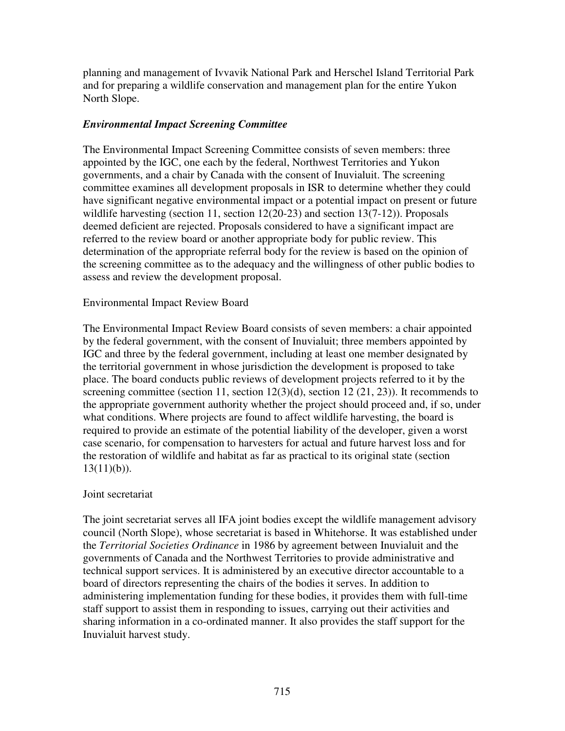planning and management of Ivvavik National Park and Herschel Island Territorial Park and for preparing a wildlife conservation and management plan for the entire Yukon North Slope.

### *Environmental Impact Screening Committee*

The Environmental Impact Screening Committee consists of seven members: three appointed by the IGC, one each by the federal, Northwest Territories and Yukon governments, and a chair by Canada with the consent of Inuvialuit. The screening committee examines all development proposals in ISR to determine whether they could have significant negative environmental impact or a potential impact on present or future wildlife harvesting (section 11, section 12(20-23) and section 13(7-12)). Proposals deemed deficient are rejected. Proposals considered to have a significant impact are referred to the review board or another appropriate body for public review. This determination of the appropriate referral body for the review is based on the opinion of the screening committee as to the adequacy and the willingness of other public bodies to assess and review the development proposal.

#### Environmental Impact Review Board

The Environmental Impact Review Board consists of seven members: a chair appointed by the federal government, with the consent of Inuvialuit; three members appointed by IGC and three by the federal government, including at least one member designated by the territorial government in whose jurisdiction the development is proposed to take place. The board conducts public reviews of development projects referred to it by the screening committee (section 11, section 12(3)(d), section 12(21, 23)). It recommends to the appropriate government authority whether the project should proceed and, if so, under what conditions. Where projects are found to affect wildlife harvesting, the board is required to provide an estimate of the potential liability of the developer, given a worst case scenario, for compensation to harvesters for actual and future harvest loss and for the restoration of wildlife and habitat as far as practical to its original state (section  $13(11)(b)$ ).

#### Joint secretariat

The joint secretariat serves all IFA joint bodies except the wildlife management advisory council (North Slope), whose secretariat is based in Whitehorse. It was established under the *Territorial Societies Ordinance* in 1986 by agreement between Inuvialuit and the governments of Canada and the Northwest Territories to provide administrative and technical support services. It is administered by an executive director accountable to a board of directors representing the chairs of the bodies it serves. In addition to administering implementation funding for these bodies, it provides them with full-time staff support to assist them in responding to issues, carrying out their activities and sharing information in a co-ordinated manner. It also provides the staff support for the Inuvialuit harvest study.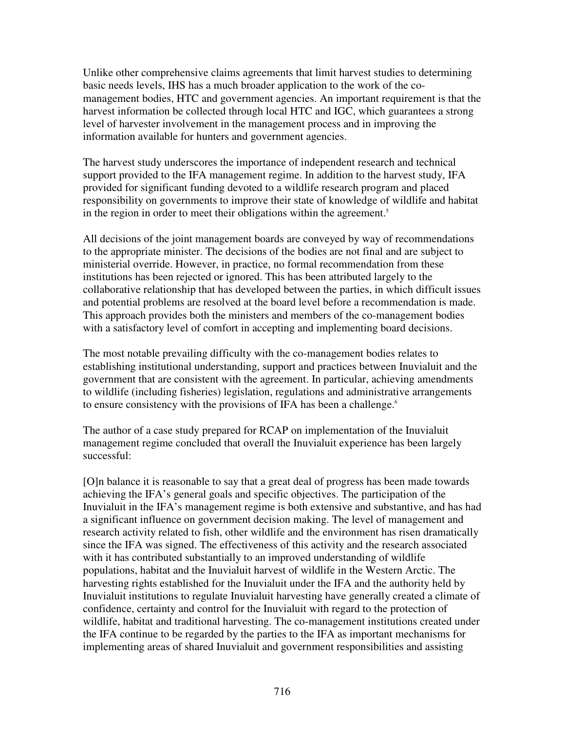Unlike other comprehensive claims agreements that limit harvest studies to determining basic needs levels, IHS has a much broader application to the work of the comanagement bodies, HTC and government agencies. An important requirement is that the harvest information be collected through local HTC and IGC, which guarantees a strong level of harvester involvement in the management process and in improving the information available for hunters and government agencies.

The harvest study underscores the importance of independent research and technical support provided to the IFA management regime. In addition to the harvest study, IFA provided for significant funding devoted to a wildlife research program and placed responsibility on governments to improve their state of knowledge of wildlife and habitat in the region in order to meet their obligations within the agreement. 5

All decisions of the joint management boards are conveyed by way of recommendations to the appropriate minister. The decisions of the bodies are not final and are subject to ministerial override. However, in practice, no formal recommendation from these institutions has been rejected or ignored. This has been attributed largely to the collaborative relationship that has developed between the parties, in which difficult issues and potential problems are resolved at the board level before a recommendation is made. This approach provides both the ministers and members of the co-management bodies with a satisfactory level of comfort in accepting and implementing board decisions.

The most notable prevailing difficulty with the co-management bodies relates to establishing institutional understanding, support and practices between Inuvialuit and the government that are consistent with the agreement. In particular, achieving amendments to wildlife (including fisheries) legislation, regulations and administrative arrangements to ensure consistency with the provisions of IFA has been a challenge.<sup>6</sup>

The author of a case study prepared for RCAP on implementation of the Inuvialuit management regime concluded that overall the Inuvialuit experience has been largely successful:

[O]n balance it is reasonable to say that a great deal of progress has been made towards achieving the IFA's general goals and specific objectives. The participation of the Inuvialuit in the IFA's management regime is both extensive and substantive, and has had a significant influence on government decision making. The level of management and research activity related to fish, other wildlife and the environment has risen dramatically since the IFA was signed. The effectiveness of this activity and the research associated with it has contributed substantially to an improved understanding of wildlife populations, habitat and the Inuvialuit harvest of wildlife in the Western Arctic. The harvesting rights established for the Inuvialuit under the IFA and the authority held by Inuvialuit institutions to regulate Inuvialuit harvesting have generally created a climate of confidence, certainty and control for the Inuvialuit with regard to the protection of wildlife, habitat and traditional harvesting. The co-management institutions created under the IFA continue to be regarded by the parties to the IFA as important mechanisms for implementing areas of shared Inuvialuit and government responsibilities and assisting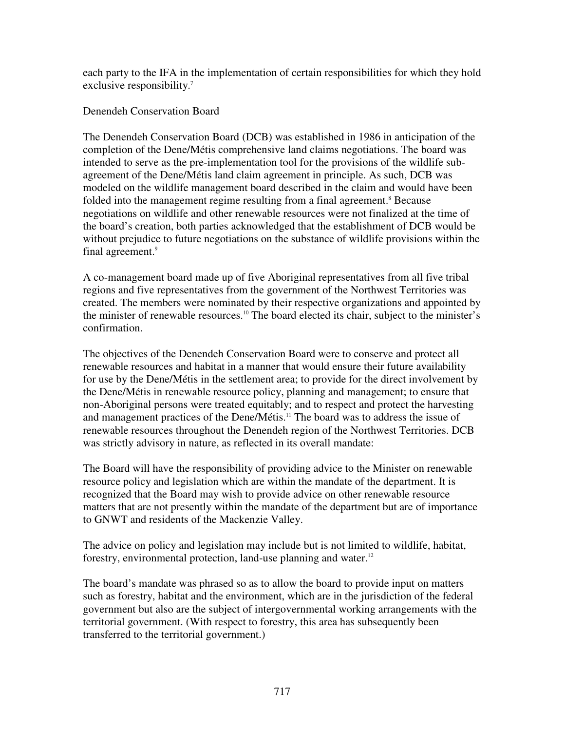each party to the IFA in the implementation of certain responsibilities for which they hold exclusive responsibility.<sup>7</sup>

Denendeh Conservation Board

The Denendeh Conservation Board (DCB) was established in 1986 in anticipation of the completion of the Dene/Métis comprehensive land claims negotiations. The board was intended to serve as the pre-implementation tool for the provisions of the wildlife subagreement of the Dene/Métis land claim agreement in principle. As such, DCB was modeled on the wildlife management board described in the claim and would have been folded into the management regime resulting from a final agreement. <sup>8</sup> Because negotiations on wildlife and other renewable resources were not finalized at the time of the board's creation, both parties acknowledged that the establishment of DCB would be without prejudice to future negotiations on the substance of wildlife provisions within the final agreement. 9

A co-management board made up of five Aboriginal representatives from all five tribal regions and five representatives from the government of the Northwest Territories was created. The members were nominated by their respective organizations and appointed by the minister of renewable resources. <sup>10</sup> The board elected its chair, subject to the minister's confirmation.

The objectives of the Denendeh Conservation Board were to conserve and protect all renewable resources and habitat in a manner that would ensure their future availability for use by the Dene/Métis in the settlement area; to provide for the direct involvement by the Dene/Métis in renewable resource policy, planning and management; to ensure that non-Aboriginal persons were treated equitably; and to respect and protect the harvesting and management practices of the Dene/Métis. <sup>11</sup> The board was to address the issue of renewable resources throughout the Denendeh region of the Northwest Territories. DCB was strictly advisory in nature, as reflected in its overall mandate:

The Board will have the responsibility of providing advice to the Minister on renewable resource policy and legislation which are within the mandate of the department. It is recognized that the Board may wish to provide advice on other renewable resource matters that are not presently within the mandate of the department but are of importance to GNWT and residents of the Mackenzie Valley.

The advice on policy and legislation may include but is not limited to wildlife, habitat, forestry, environmental protection, land-use planning and water.<sup>12</sup>

The board's mandate was phrased so as to allow the board to provide input on matters such as forestry, habitat and the environment, which are in the jurisdiction of the federal government but also are the subject of intergovernmental working arrangements with the territorial government. (With respect to forestry, this area has subsequently been transferred to the territorial government.)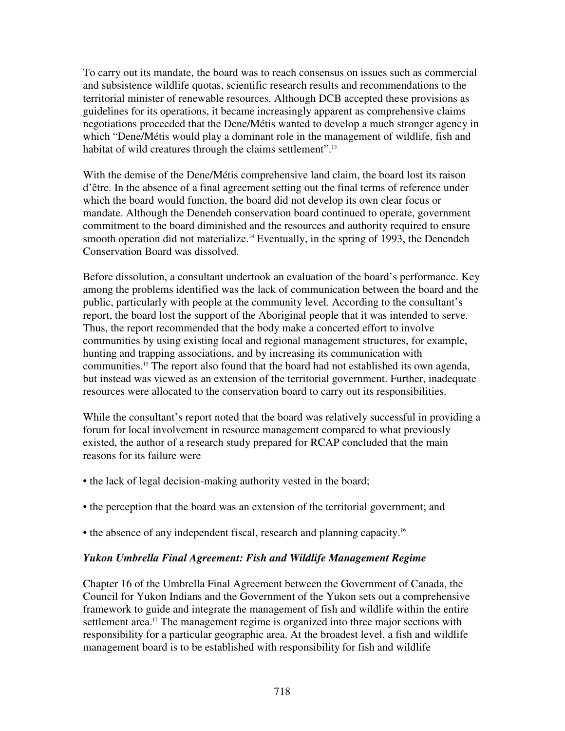To carry out its mandate, the board was to reach consensus on issues such as commercial and subsistence wildlife quotas, scientific research results and recommendations to the territorial minister of renewable resources. Although DCB accepted these provisions as guidelines for its operations, it became increasingly apparent as comprehensive claims negotiations proceeded that the Dene/Métis wanted to develop a much stronger agency in which "Dene/Métis would play a dominant role in the management of wildlife, fish and habitat of wild creatures through the claims settlement".<sup>13</sup>

With the demise of the Dene/Métis comprehensive land claim, the board lost its raison d'être. In the absence of a final agreement setting out the final terms of reference under which the board would function, the board did not develop its own clear focus or mandate. Although the Denendeh conservation board continued to operate, government commitment to the board diminished and the resources and authority required to ensure smooth operation did not materialize.<sup>14</sup> Eventually, in the spring of 1993, the Denendeh Conservation Board was dissolved.

Before dissolution, a consultant undertook an evaluation of the board's performance. Key among the problems identified was the lack of communication between the board and the public, particularly with people at the community level. According to the consultant's report, the board lost the support of the Aboriginal people that it was intended to serve. Thus, the report recommended that the body make a concerted effort to involve communities by using existing local and regional management structures, for example, hunting and trapping associations, and by increasing its communication with communities. <sup>15</sup> The report also found that the board had not established its own agenda, but instead was viewed as an extension of the territorial government. Further, inadequate resources were allocated to the conservation board to carry out its responsibilities.

While the consultant's report noted that the board was relatively successful in providing a forum for local involvement in resource management compared to what previously existed, the author of a research study prepared for RCAP concluded that the main reasons for its failure were

- the lack of legal decision-making authority vested in the board;
- the perception that the board was an extension of the territorial government; and
- the absence of any independent fiscal, research and planning capacity.<sup>16</sup>

## *Yukon Umbrella Final Agreement: Fish and Wildlife Management Regime*

Chapter 16 of the Umbrella Final Agreement between the Government of Canada, the Council for Yukon Indians and the Government of the Yukon sets out a comprehensive framework to guide and integrate the management of fish and wildlife within the entire settlement area.<sup>17</sup> The management regime is organized into three major sections with responsibility for a particular geographic area. At the broadest level, a fish and wildlife management board is to be established with responsibility for fish and wildlife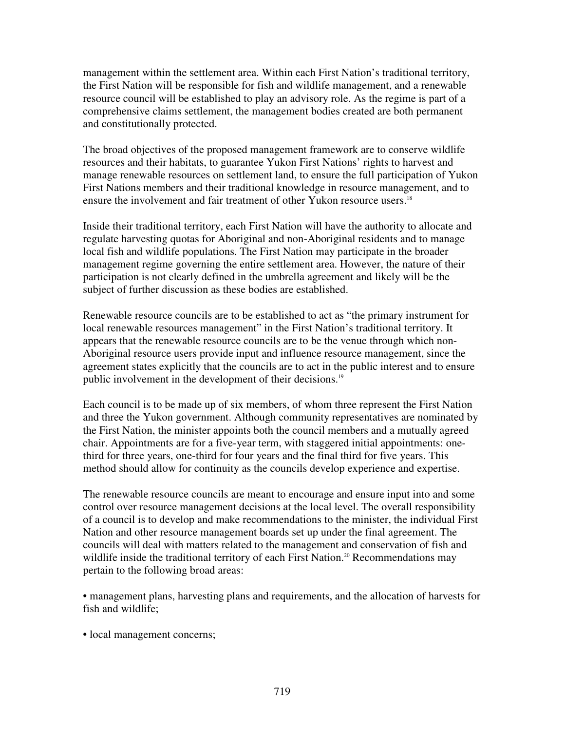management within the settlement area. Within each First Nation's traditional territory, the First Nation will be responsible for fish and wildlife management, and a renewable resource council will be established to play an advisory role. As the regime is part of a comprehensive claims settlement, the management bodies created are both permanent and constitutionally protected.

The broad objectives of the proposed management framework are to conserve wildlife resources and their habitats, to guarantee Yukon First Nations' rights to harvest and manage renewable resources on settlement land, to ensure the full participation of Yukon First Nations members and their traditional knowledge in resource management, and to ensure the involvement and fair treatment of other Yukon resource users.<sup>18</sup>

Inside their traditional territory, each First Nation will have the authority to allocate and regulate harvesting quotas for Aboriginal and non-Aboriginal residents and to manage local fish and wildlife populations. The First Nation may participate in the broader management regime governing the entire settlement area. However, the nature of their participation is not clearly defined in the umbrella agreement and likely will be the subject of further discussion as these bodies are established.

Renewable resource councils are to be established to act as "the primary instrument for local renewable resources management" in the First Nation's traditional territory. It appears that the renewable resource councils are to be the venue through which non-Aboriginal resource users provide input and influence resource management, since the agreement states explicitly that the councils are to act in the public interest and to ensure public involvement in the development of their decisions.<sup>19</sup>

Each council is to be made up of six members, of whom three represent the First Nation and three the Yukon government. Although community representatives are nominated by the First Nation, the minister appoints both the council members and a mutually agreed chair. Appointments are for a five-year term, with staggered initial appointments: onethird for three years, one-third for four years and the final third for five years. This method should allow for continuity as the councils develop experience and expertise.

The renewable resource councils are meant to encourage and ensure input into and some control over resource management decisions at the local level. The overall responsibility of a council is to develop and make recommendations to the minister, the individual First Nation and other resource management boards set up under the final agreement. The councils will deal with matters related to the management and conservation of fish and wildlife inside the traditional territory of each First Nation.<sup>20</sup> Recommendations may pertain to the following broad areas:

• management plans, harvesting plans and requirements, and the allocation of harvests for fish and wildlife;

• local management concerns;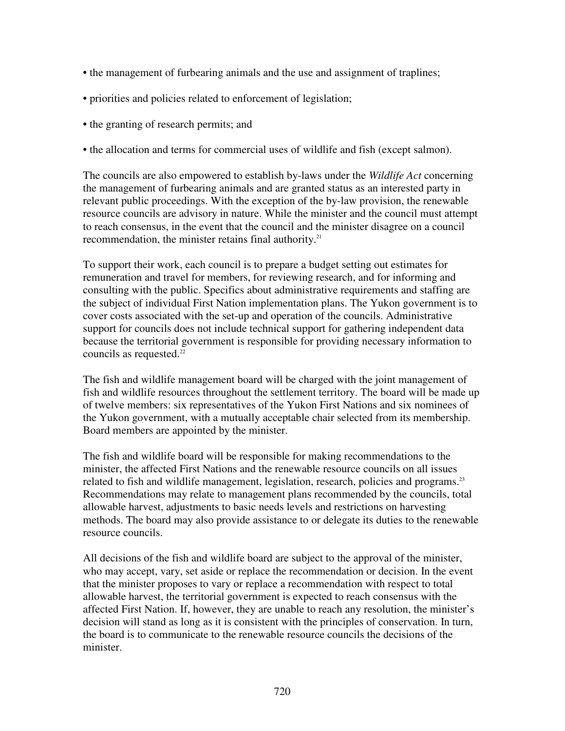- the management of furbearing animals and the use and assignment of traplines;
- priorities and policies related to enforcement of legislation;
- the granting of research permits; and
- the allocation and terms for commercial uses of wildlife and fish (except salmon).

The councils are also empowered to establish by-laws under the *Wildlife Act* concerning the management of furbearing animals and are granted status as an interested party in relevant public proceedings. With the exception of the by-law provision, the renewable resource councils are advisory in nature. While the minister and the council must attempt to reach consensus, in the event that the council and the minister disagree on a council recommendation, the minister retains final authority.<sup>21</sup>

To support their work, each council is to prepare a budget setting out estimates for remuneration and travel for members, for reviewing research, and for informing and consulting with the public. Specifics about administrative requirements and staffing are the subject of individual First Nation implementation plans. The Yukon government is to cover costs associated with the set-up and operation of the councils. Administrative support for councils does not include technical support for gathering independent data because the territorial government is responsible for providing necessary information to councils as requested. 22

The fish and wildlife management board will be charged with the joint management of fish and wildlife resources throughout the settlement territory. The board will be made up of twelve members: six representatives of the Yukon First Nations and six nominees of the Yukon government, with a mutually acceptable chair selected from its membership. Board members are appointed by the minister.

The fish and wildlife board will be responsible for making recommendations to the minister, the affected First Nations and the renewable resource councils on all issues related to fish and wildlife management, legislation, research, policies and programs.<sup>23</sup> Recommendations may relate to management plans recommended by the councils, total allowable harvest, adjustments to basic needs levels and restrictions on harvesting methods. The board may also provide assistance to or delegate its duties to the renewable resource councils.

All decisions of the fish and wildlife board are subject to the approval of the minister, who may accept, vary, set aside or replace the recommendation or decision. In the event that the minister proposes to vary or replace a recommendation with respect to total allowable harvest, the territorial government is expected to reach consensus with the affected First Nation. If, however, they are unable to reach any resolution, the minister's decision will stand as long as it is consistent with the principles of conservation. In turn, the board is to communicate to the renewable resource councils the decisions of the minister.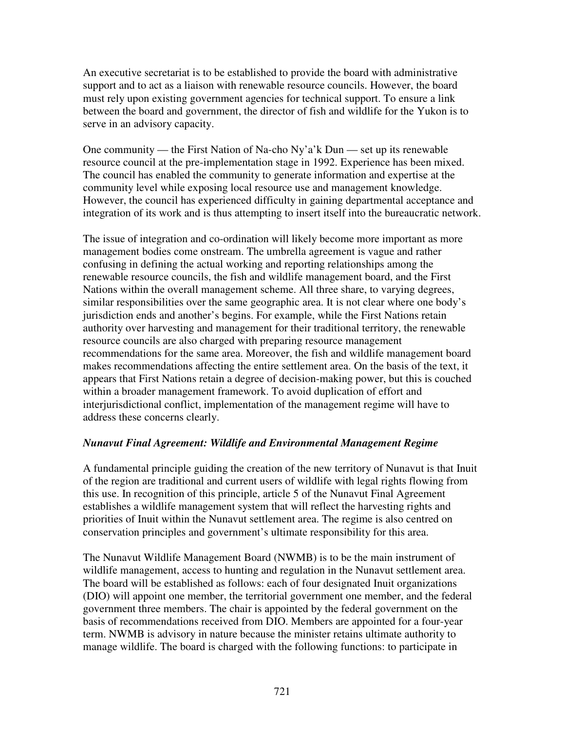An executive secretariat is to be established to provide the board with administrative support and to act as a liaison with renewable resource councils. However, the board must rely upon existing government agencies for technical support. To ensure a link between the board and government, the director of fish and wildlife for the Yukon is to serve in an advisory capacity.

One community — the First Nation of Na-cho Ny'a'k Dun — set up its renewable resource council at the pre-implementation stage in 1992. Experience has been mixed. The council has enabled the community to generate information and expertise at the community level while exposing local resource use and management knowledge. However, the council has experienced difficulty in gaining departmental acceptance and integration of its work and is thus attempting to insert itself into the bureaucratic network.

The issue of integration and co-ordination will likely become more important as more management bodies come onstream. The umbrella agreement is vague and rather confusing in defining the actual working and reporting relationships among the renewable resource councils, the fish and wildlife management board, and the First Nations within the overall management scheme. All three share, to varying degrees, similar responsibilities over the same geographic area. It is not clear where one body's jurisdiction ends and another's begins. For example, while the First Nations retain authority over harvesting and management for their traditional territory, the renewable resource councils are also charged with preparing resource management recommendations for the same area. Moreover, the fish and wildlife management board makes recommendations affecting the entire settlement area. On the basis of the text, it appears that First Nations retain a degree of decision-making power, but this is couched within a broader management framework. To avoid duplication of effort and interjurisdictional conflict, implementation of the management regime will have to address these concerns clearly.

## *Nunavut Final Agreement: Wildlife and Environmental Management Regime*

A fundamental principle guiding the creation of the new territory of Nunavut is that Inuit of the region are traditional and current users of wildlife with legal rights flowing from this use. In recognition of this principle, article 5 of the Nunavut Final Agreement establishes a wildlife management system that will reflect the harvesting rights and priorities of Inuit within the Nunavut settlement area. The regime is also centred on conservation principles and government's ultimate responsibility for this area.

The Nunavut Wildlife Management Board (NWMB) is to be the main instrument of wildlife management, access to hunting and regulation in the Nunavut settlement area. The board will be established as follows: each of four designated Inuit organizations (DIO) will appoint one member, the territorial government one member, and the federal government three members. The chair is appointed by the federal government on the basis of recommendations received from DIO. Members are appointed for a four-year term. NWMB is advisory in nature because the minister retains ultimate authority to manage wildlife. The board is charged with the following functions: to participate in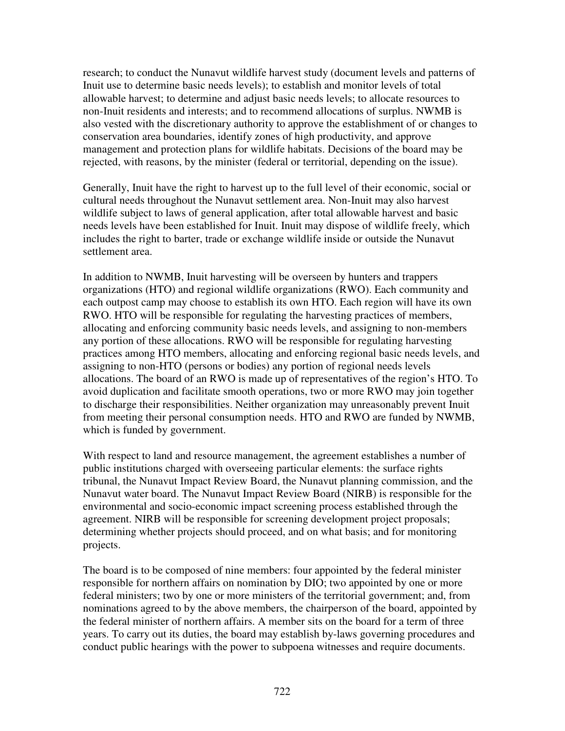research; to conduct the Nunavut wildlife harvest study (document levels and patterns of Inuit use to determine basic needs levels); to establish and monitor levels of total allowable harvest; to determine and adjust basic needs levels; to allocate resources to non-Inuit residents and interests; and to recommend allocations of surplus. NWMB is also vested with the discretionary authority to approve the establishment of or changes to conservation area boundaries, identify zones of high productivity, and approve management and protection plans for wildlife habitats. Decisions of the board may be rejected, with reasons, by the minister (federal or territorial, depending on the issue).

Generally, Inuit have the right to harvest up to the full level of their economic, social or cultural needs throughout the Nunavut settlement area. Non-Inuit may also harvest wildlife subject to laws of general application, after total allowable harvest and basic needs levels have been established for Inuit. Inuit may dispose of wildlife freely, which includes the right to barter, trade or exchange wildlife inside or outside the Nunavut settlement area.

In addition to NWMB, Inuit harvesting will be overseen by hunters and trappers organizations (HTO) and regional wildlife organizations (RWO). Each community and each outpost camp may choose to establish its own HTO. Each region will have its own RWO. HTO will be responsible for regulating the harvesting practices of members, allocating and enforcing community basic needs levels, and assigning to non-members any portion of these allocations. RWO will be responsible for regulating harvesting practices among HTO members, allocating and enforcing regional basic needs levels, and assigning to non-HTO (persons or bodies) any portion of regional needs levels allocations. The board of an RWO is made up of representatives of the region's HTO. To avoid duplication and facilitate smooth operations, two or more RWO may join together to discharge their responsibilities. Neither organization may unreasonably prevent Inuit from meeting their personal consumption needs. HTO and RWO are funded by NWMB, which is funded by government.

With respect to land and resource management, the agreement establishes a number of public institutions charged with overseeing particular elements: the surface rights tribunal, the Nunavut Impact Review Board, the Nunavut planning commission, and the Nunavut water board. The Nunavut Impact Review Board (NIRB) is responsible for the environmental and socio-economic impact screening process established through the agreement. NIRB will be responsible for screening development project proposals; determining whether projects should proceed, and on what basis; and for monitoring projects.

The board is to be composed of nine members: four appointed by the federal minister responsible for northern affairs on nomination by DIO; two appointed by one or more federal ministers; two by one or more ministers of the territorial government; and, from nominations agreed to by the above members, the chairperson of the board, appointed by the federal minister of northern affairs. A member sits on the board for a term of three years. To carry out its duties, the board may establish by-laws governing procedures and conduct public hearings with the power to subpoena witnesses and require documents.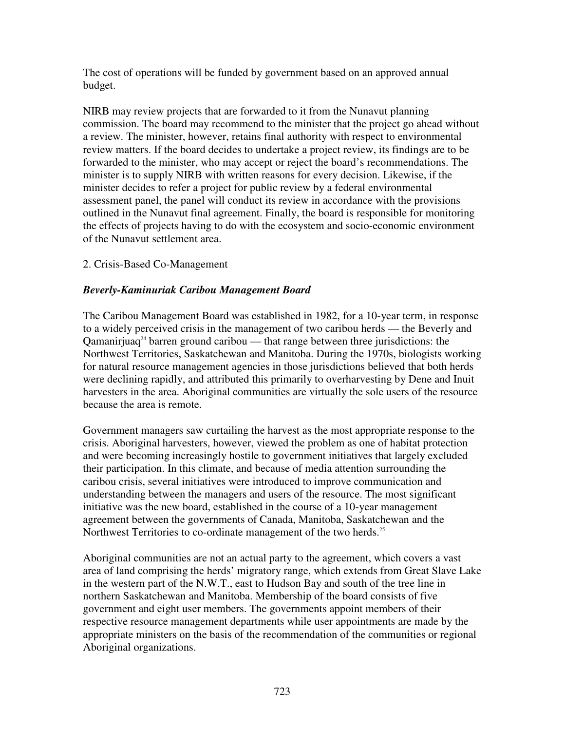The cost of operations will be funded by government based on an approved annual budget.

NIRB may review projects that are forwarded to it from the Nunavut planning commission. The board may recommend to the minister that the project go ahead without a review. The minister, however, retains final authority with respect to environmental review matters. If the board decides to undertake a project review, its findings are to be forwarded to the minister, who may accept or reject the board's recommendations. The minister is to supply NIRB with written reasons for every decision. Likewise, if the minister decides to refer a project for public review by a federal environmental assessment panel, the panel will conduct its review in accordance with the provisions outlined in the Nunavut final agreement. Finally, the board is responsible for monitoring the effects of projects having to do with the ecosystem and socio-economic environment of the Nunavut settlement area.

#### 2. Crisis-Based Co-Management

#### *Beverly-Kaminuriak Caribou Management Board*

The Caribou Management Board was established in 1982, for a 10-year term, in response to a widely perceived crisis in the management of two caribou herds — the Beverly and Qamanirjuaq 24 barren ground caribou — that range between three jurisdictions: the Northwest Territories, Saskatchewan and Manitoba. During the 1970s, biologists working for natural resource management agencies in those jurisdictions believed that both herds were declining rapidly, and attributed this primarily to overharvesting by Dene and Inuit harvesters in the area. Aboriginal communities are virtually the sole users of the resource because the area is remote.

Government managers saw curtailing the harvest as the most appropriate response to the crisis. Aboriginal harvesters, however, viewed the problem as one of habitat protection and were becoming increasingly hostile to government initiatives that largely excluded their participation. In this climate, and because of media attention surrounding the caribou crisis, several initiatives were introduced to improve communication and understanding between the managers and users of the resource. The most significant initiative was the new board, established in the course of a 10-year management agreement between the governments of Canada, Manitoba, Saskatchewan and the Northwest Territories to co-ordinate management of the two herds.<sup>25</sup>

Aboriginal communities are not an actual party to the agreement, which covers a vast area of land comprising the herds' migratory range, which extends from Great Slave Lake in the western part of the N.W.T., east to Hudson Bay and south of the tree line in northern Saskatchewan and Manitoba. Membership of the board consists of five government and eight user members. The governments appoint members of their respective resource management departments while user appointments are made by the appropriate ministers on the basis of the recommendation of the communities or regional Aboriginal organizations.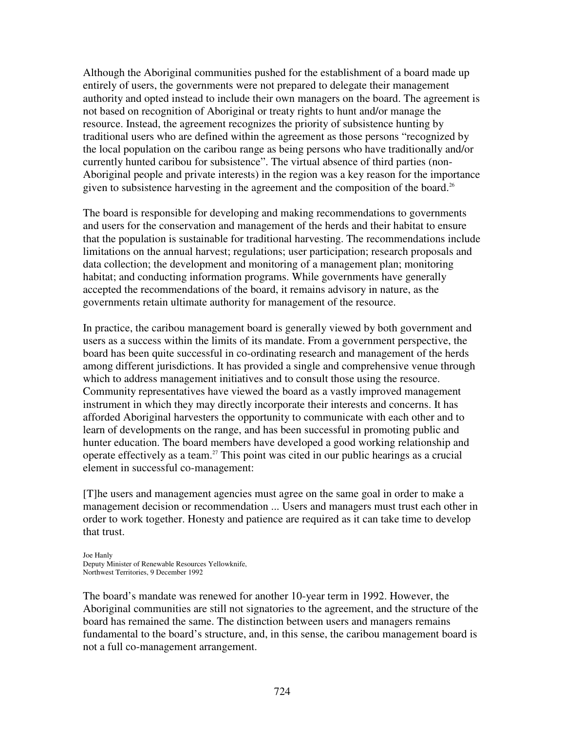Although the Aboriginal communities pushed for the establishment of a board made up entirely of users, the governments were not prepared to delegate their management authority and opted instead to include their own managers on the board. The agreement is not based on recognition of Aboriginal or treaty rights to hunt and/or manage the resource. Instead, the agreement recognizes the priority of subsistence hunting by traditional users who are defined within the agreement as those persons "recognized by the local population on the caribou range as being persons who have traditionally and/or currently hunted caribou for subsistence". The virtual absence of third parties (non-Aboriginal people and private interests) in the region was a key reason for the importance given to subsistence harvesting in the agreement and the composition of the board.<sup>26</sup>

The board is responsible for developing and making recommendations to governments and users for the conservation and management of the herds and their habitat to ensure that the population is sustainable for traditional harvesting. The recommendations include limitations on the annual harvest; regulations; user participation; research proposals and data collection; the development and monitoring of a management plan; monitoring habitat; and conducting information programs. While governments have generally accepted the recommendations of the board, it remains advisory in nature, as the governments retain ultimate authority for management of the resource.

In practice, the caribou management board is generally viewed by both government and users as a success within the limits of its mandate. From a government perspective, the board has been quite successful in co-ordinating research and management of the herds among different jurisdictions. It has provided a single and comprehensive venue through which to address management initiatives and to consult those using the resource. Community representatives have viewed the board as a vastly improved management instrument in which they may directly incorporate their interests and concerns. It has afforded Aboriginal harvesters the opportunity to communicate with each other and to learn of developments on the range, and has been successful in promoting public and hunter education. The board members have developed a good working relationship and operate effectively as a team. <sup>27</sup> This point was cited in our public hearings as a crucial element in successful co-management:

[T]he users and management agencies must agree on the same goal in order to make a management decision or recommendation ... Users and managers must trust each other in order to work together. Honesty and patience are required as it can take time to develop that trust.

Joe Hanly Deputy Minister of Renewable Resources Yellowknife, Northwest Territories, 9 December 1992

The board's mandate was renewed for another 10-year term in 1992. However, the Aboriginal communities are still not signatories to the agreement, and the structure of the board has remained the same. The distinction between users and managers remains fundamental to the board's structure, and, in this sense, the caribou management board is not a full co-management arrangement.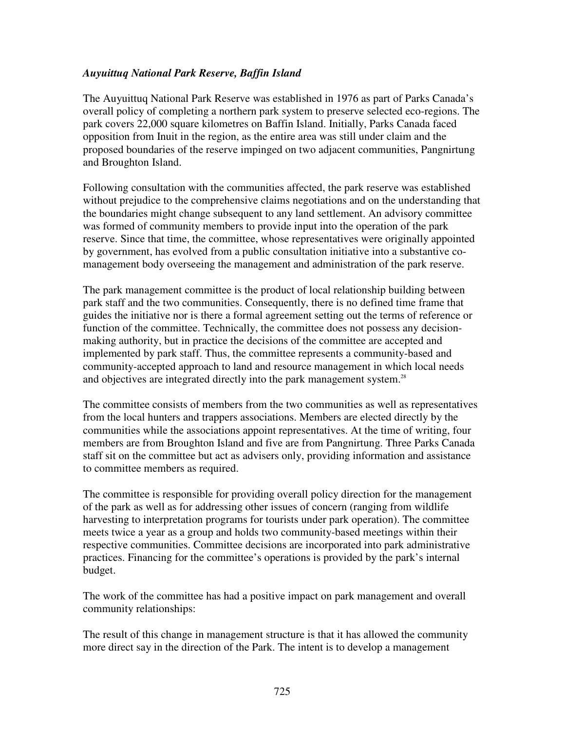### *Auyuittuq National Park Reserve, Baffin Island*

The Auyuittuq National Park Reserve was established in 1976 as part of Parks Canada's overall policy of completing a northern park system to preserve selected eco-regions. The park covers 22,000 square kilometres on Baffin Island. Initially, Parks Canada faced opposition from Inuit in the region, as the entire area was still under claim and the proposed boundaries of the reserve impinged on two adjacent communities, Pangnirtung and Broughton Island.

Following consultation with the communities affected, the park reserve was established without prejudice to the comprehensive claims negotiations and on the understanding that the boundaries might change subsequent to any land settlement. An advisory committee was formed of community members to provide input into the operation of the park reserve. Since that time, the committee, whose representatives were originally appointed by government, has evolved from a public consultation initiative into a substantive comanagement body overseeing the management and administration of the park reserve.

The park management committee is the product of local relationship building between park staff and the two communities. Consequently, there is no defined time frame that guides the initiative nor is there a formal agreement setting out the terms of reference or function of the committee. Technically, the committee does not possess any decisionmaking authority, but in practice the decisions of the committee are accepted and implemented by park staff. Thus, the committee represents a community-based and community-accepted approach to land and resource management in which local needs and objectives are integrated directly into the park management system.<sup>28</sup>

The committee consists of members from the two communities as well as representatives from the local hunters and trappers associations. Members are elected directly by the communities while the associations appoint representatives. At the time of writing, four members are from Broughton Island and five are from Pangnirtung. Three Parks Canada staff sit on the committee but act as advisers only, providing information and assistance to committee members as required.

The committee is responsible for providing overall policy direction for the management of the park as well as for addressing other issues of concern (ranging from wildlife harvesting to interpretation programs for tourists under park operation). The committee meets twice a year as a group and holds two community-based meetings within their respective communities. Committee decisions are incorporated into park administrative practices. Financing for the committee's operations is provided by the park's internal budget.

The work of the committee has had a positive impact on park management and overall community relationships:

The result of this change in management structure is that it has allowed the community more direct say in the direction of the Park. The intent is to develop a management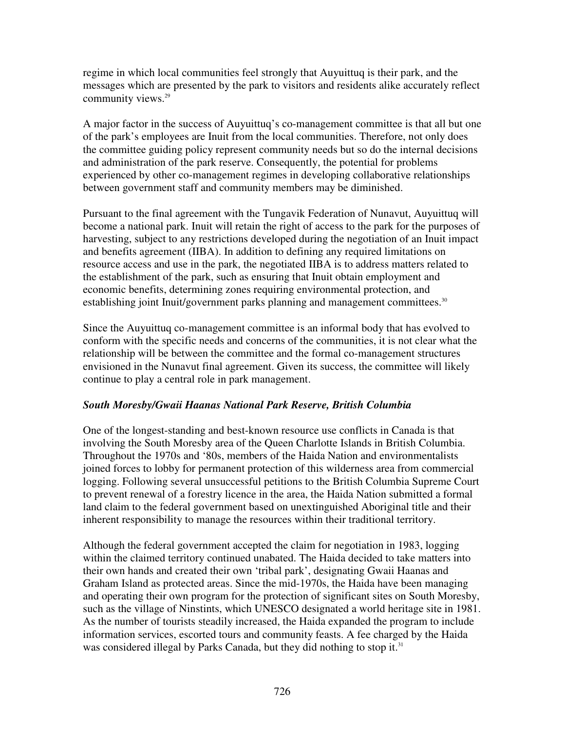regime in which local communities feel strongly that Auyuittuq is their park, and the messages which are presented by the park to visitors and residents alike accurately reflect community views. 29

A major factor in the success of Auyuittuq's co-management committee is that all but one of the park's employees are Inuit from the local communities. Therefore, not only does the committee guiding policy represent community needs but so do the internal decisions and administration of the park reserve. Consequently, the potential for problems experienced by other co-management regimes in developing collaborative relationships between government staff and community members may be diminished.

Pursuant to the final agreement with the Tungavik Federation of Nunavut, Auyuittuq will become a national park. Inuit will retain the right of access to the park for the purposes of harvesting, subject to any restrictions developed during the negotiation of an Inuit impact and benefits agreement (IIBA). In addition to defining any required limitations on resource access and use in the park, the negotiated IIBA is to address matters related to the establishment of the park, such as ensuring that Inuit obtain employment and economic benefits, determining zones requiring environmental protection, and establishing joint Inuit/government parks planning and management committees.<sup>30</sup>

Since the Auyuittuq co-management committee is an informal body that has evolved to conform with the specific needs and concerns of the communities, it is not clear what the relationship will be between the committee and the formal co-management structures envisioned in the Nunavut final agreement. Given its success, the committee will likely continue to play a central role in park management.

## *South Moresby/Gwaii Haanas National Park Reserve, British Columbia*

One of the longest-standing and best-known resource use conflicts in Canada is that involving the South Moresby area of the Queen Charlotte Islands in British Columbia. Throughout the 1970s and '80s, members of the Haida Nation and environmentalists joined forces to lobby for permanent protection of this wilderness area from commercial logging. Following several unsuccessful petitions to the British Columbia Supreme Court to prevent renewal of a forestry licence in the area, the Haida Nation submitted a formal land claim to the federal government based on unextinguished Aboriginal title and their inherent responsibility to manage the resources within their traditional territory.

Although the federal government accepted the claim for negotiation in 1983, logging within the claimed territory continued unabated. The Haida decided to take matters into their own hands and created their own 'tribal park', designating Gwaii Haanas and Graham Island as protected areas. Since the mid-1970s, the Haida have been managing and operating their own program for the protection of significant sites on South Moresby, such as the village of Ninstints, which UNESCO designated a world heritage site in 1981. As the number of tourists steadily increased, the Haida expanded the program to include information services, escorted tours and community feasts. A fee charged by the Haida was considered illegal by Parks Canada, but they did nothing to stop it.<sup>31</sup>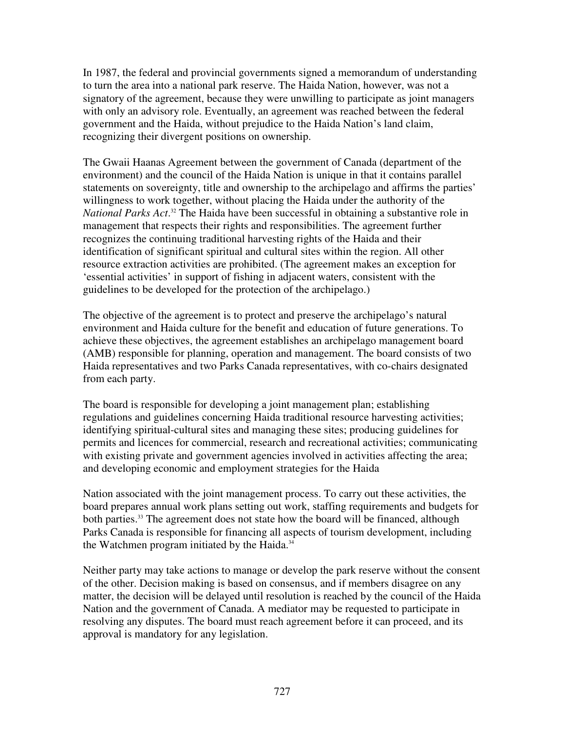In 1987, the federal and provincial governments signed a memorandum of understanding to turn the area into a national park reserve. The Haida Nation, however, was not a signatory of the agreement, because they were unwilling to participate as joint managers with only an advisory role. Eventually, an agreement was reached between the federal government and the Haida, without prejudice to the Haida Nation's land claim, recognizing their divergent positions on ownership.

The Gwaii Haanas Agreement between the government of Canada (department of the environment) and the council of the Haida Nation is unique in that it contains parallel statements on sovereignty, title and ownership to the archipelago and affirms the parties' willingness to work together, without placing the Haida under the authority of the *National Parks Act*. <sup>32</sup> The Haida have been successful in obtaining a substantive role in management that respects their rights and responsibilities. The agreement further recognizes the continuing traditional harvesting rights of the Haida and their identification of significant spiritual and cultural sites within the region. All other resource extraction activities are prohibited. (The agreement makes an exception for 'essential activities' in support of fishing in adjacent waters, consistent with the guidelines to be developed for the protection of the archipelago.)

The objective of the agreement is to protect and preserve the archipelago's natural environment and Haida culture for the benefit and education of future generations. To achieve these objectives, the agreement establishes an archipelago management board (AMB) responsible for planning, operation and management. The board consists of two Haida representatives and two Parks Canada representatives, with co-chairs designated from each party.

The board is responsible for developing a joint management plan; establishing regulations and guidelines concerning Haida traditional resource harvesting activities; identifying spiritual-cultural sites and managing these sites; producing guidelines for permits and licences for commercial, research and recreational activities; communicating with existing private and government agencies involved in activities affecting the area; and developing economic and employment strategies for the Haida

Nation associated with the joint management process. To carry out these activities, the board prepares annual work plans setting out work, staffing requirements and budgets for both parties. <sup>33</sup> The agreement does not state how the board will be financed, although Parks Canada is responsible for financing all aspects of tourism development, including the Watchmen program initiated by the Haida. 34

Neither party may take actions to manage or develop the park reserve without the consent of the other. Decision making is based on consensus, and if members disagree on any matter, the decision will be delayed until resolution is reached by the council of the Haida Nation and the government of Canada. A mediator may be requested to participate in resolving any disputes. The board must reach agreement before it can proceed, and its approval is mandatory for any legislation.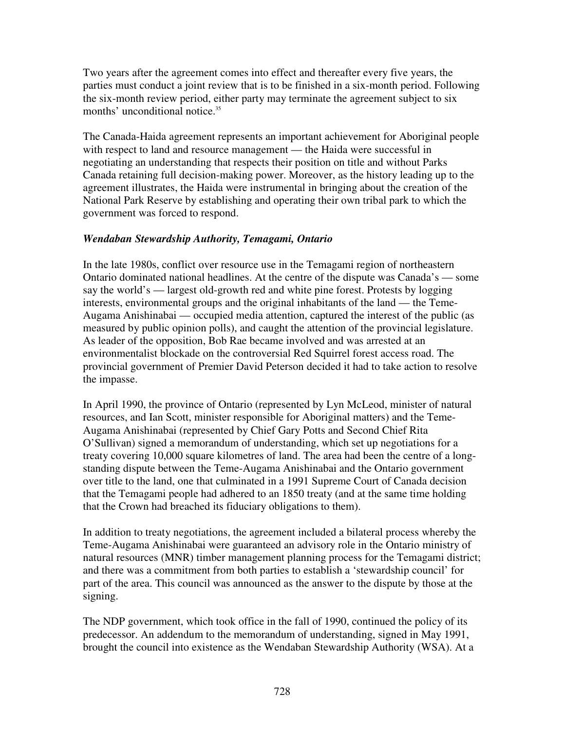Two years after the agreement comes into effect and thereafter every five years, the parties must conduct a joint review that is to be finished in a six-month period. Following the six-month review period, either party may terminate the agreement subject to six months' unconditional notice. 35

The Canada-Haida agreement represents an important achievement for Aboriginal people with respect to land and resource management — the Haida were successful in negotiating an understanding that respects their position on title and without Parks Canada retaining full decision-making power. Moreover, as the history leading up to the agreement illustrates, the Haida were instrumental in bringing about the creation of the National Park Reserve by establishing and operating their own tribal park to which the government was forced to respond.

## *Wendaban Stewardship Authority, Temagami, Ontario*

In the late 1980s, conflict over resource use in the Temagami region of northeastern Ontario dominated national headlines. At the centre of the dispute was Canada's — some say the world's — largest old-growth red and white pine forest. Protests by logging interests, environmental groups and the original inhabitants of the land — the Teme-Augama Anishinabai — occupied media attention, captured the interest of the public (as measured by public opinion polls), and caught the attention of the provincial legislature. As leader of the opposition, Bob Rae became involved and was arrested at an environmentalist blockade on the controversial Red Squirrel forest access road. The provincial government of Premier David Peterson decided it had to take action to resolve the impasse.

In April 1990, the province of Ontario (represented by Lyn McLeod, minister of natural resources, and Ian Scott, minister responsible for Aboriginal matters) and the Teme-Augama Anishinabai (represented by Chief Gary Potts and Second Chief Rita O'Sullivan) signed a memorandum of understanding, which set up negotiations for a treaty covering 10,000 square kilometres of land. The area had been the centre of a longstanding dispute between the Teme-Augama Anishinabai and the Ontario government over title to the land, one that culminated in a 1991 Supreme Court of Canada decision that the Temagami people had adhered to an 1850 treaty (and at the same time holding that the Crown had breached its fiduciary obligations to them).

In addition to treaty negotiations, the agreement included a bilateral process whereby the Teme-Augama Anishinabai were guaranteed an advisory role in the Ontario ministry of natural resources (MNR) timber management planning process for the Temagami district; and there was a commitment from both parties to establish a 'stewardship council' for part of the area. This council was announced as the answer to the dispute by those at the signing.

The NDP government, which took office in the fall of 1990, continued the policy of its predecessor. An addendum to the memorandum of understanding, signed in May 1991, brought the council into existence as the Wendaban Stewardship Authority (WSA). At a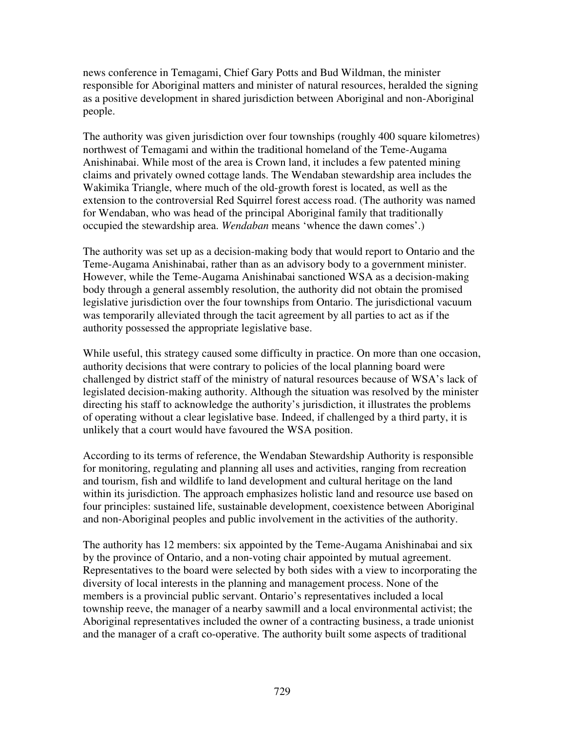news conference in Temagami, Chief Gary Potts and Bud Wildman, the minister responsible for Aboriginal matters and minister of natural resources, heralded the signing as a positive development in shared jurisdiction between Aboriginal and non-Aboriginal people.

The authority was given jurisdiction over four townships (roughly 400 square kilometres) northwest of Temagami and within the traditional homeland of the Teme-Augama Anishinabai. While most of the area is Crown land, it includes a few patented mining claims and privately owned cottage lands. The Wendaban stewardship area includes the Wakimika Triangle, where much of the old-growth forest is located, as well as the extension to the controversial Red Squirrel forest access road. (The authority was named for Wendaban, who was head of the principal Aboriginal family that traditionally occupied the stewardship area. *Wendaban* means 'whence the dawn comes'.)

The authority was set up as a decision-making body that would report to Ontario and the Teme-Augama Anishinabai, rather than as an advisory body to a government minister. However, while the Teme-Augama Anishinabai sanctioned WSA as a decision-making body through a general assembly resolution, the authority did not obtain the promised legislative jurisdiction over the four townships from Ontario. The jurisdictional vacuum was temporarily alleviated through the tacit agreement by all parties to act as if the authority possessed the appropriate legislative base.

While useful, this strategy caused some difficulty in practice. On more than one occasion, authority decisions that were contrary to policies of the local planning board were challenged by district staff of the ministry of natural resources because of WSA's lack of legislated decision-making authority. Although the situation was resolved by the minister directing his staff to acknowledge the authority's jurisdiction, it illustrates the problems of operating without a clear legislative base. Indeed, if challenged by a third party, it is unlikely that a court would have favoured the WSA position.

According to its terms of reference, the Wendaban Stewardship Authority is responsible for monitoring, regulating and planning all uses and activities, ranging from recreation and tourism, fish and wildlife to land development and cultural heritage on the land within its jurisdiction. The approach emphasizes holistic land and resource use based on four principles: sustained life, sustainable development, coexistence between Aboriginal and non-Aboriginal peoples and public involvement in the activities of the authority.

The authority has 12 members: six appointed by the Teme-Augama Anishinabai and six by the province of Ontario, and a non-voting chair appointed by mutual agreement. Representatives to the board were selected by both sides with a view to incorporating the diversity of local interests in the planning and management process. None of the members is a provincial public servant. Ontario's representatives included a local township reeve, the manager of a nearby sawmill and a local environmental activist; the Aboriginal representatives included the owner of a contracting business, a trade unionist and the manager of a craft co-operative. The authority built some aspects of traditional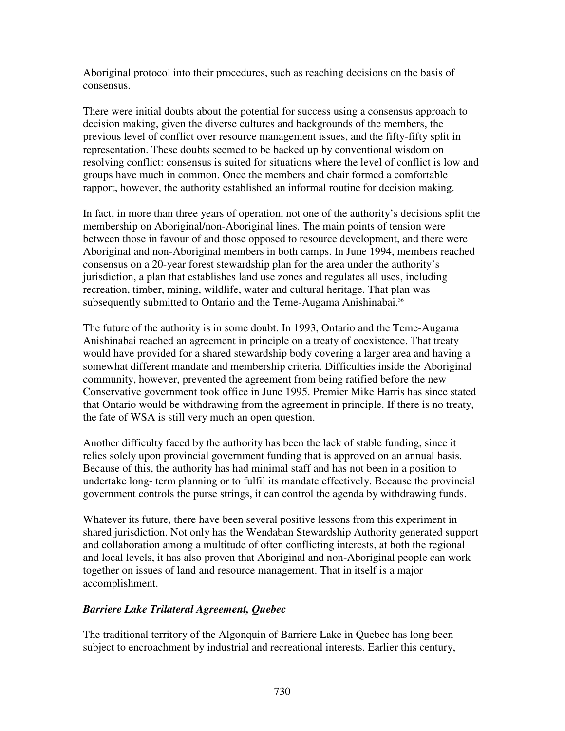Aboriginal protocol into their procedures, such as reaching decisions on the basis of consensus.

There were initial doubts about the potential for success using a consensus approach to decision making, given the diverse cultures and backgrounds of the members, the previous level of conflict over resource management issues, and the fifty-fifty split in representation. These doubts seemed to be backed up by conventional wisdom on resolving conflict: consensus is suited for situations where the level of conflict is low and groups have much in common. Once the members and chair formed a comfortable rapport, however, the authority established an informal routine for decision making.

In fact, in more than three years of operation, not one of the authority's decisions split the membership on Aboriginal/non-Aboriginal lines. The main points of tension were between those in favour of and those opposed to resource development, and there were Aboriginal and non-Aboriginal members in both camps. In June 1994, members reached consensus on a 20-year forest stewardship plan for the area under the authority's jurisdiction, a plan that establishes land use zones and regulates all uses, including recreation, timber, mining, wildlife, water and cultural heritage. That plan was subsequently submitted to Ontario and the Teme-Augama Anishinabai.<sup>36</sup>

The future of the authority is in some doubt. In 1993, Ontario and the Teme-Augama Anishinabai reached an agreement in principle on a treaty of coexistence. That treaty would have provided for a shared stewardship body covering a larger area and having a somewhat different mandate and membership criteria. Difficulties inside the Aboriginal community, however, prevented the agreement from being ratified before the new Conservative government took office in June 1995. Premier Mike Harris has since stated that Ontario would be withdrawing from the agreement in principle. If there is no treaty, the fate of WSA is still very much an open question.

Another difficulty faced by the authority has been the lack of stable funding, since it relies solely upon provincial government funding that is approved on an annual basis. Because of this, the authority has had minimal staff and has not been in a position to undertake long- term planning or to fulfil its mandate effectively. Because the provincial government controls the purse strings, it can control the agenda by withdrawing funds.

Whatever its future, there have been several positive lessons from this experiment in shared jurisdiction. Not only has the Wendaban Stewardship Authority generated support and collaboration among a multitude of often conflicting interests, at both the regional and local levels, it has also proven that Aboriginal and non-Aboriginal people can work together on issues of land and resource management. That in itself is a major accomplishment.

## *Barriere Lake Trilateral Agreement, Quebec*

The traditional territory of the Algonquin of Barriere Lake in Quebec has long been subject to encroachment by industrial and recreational interests. Earlier this century,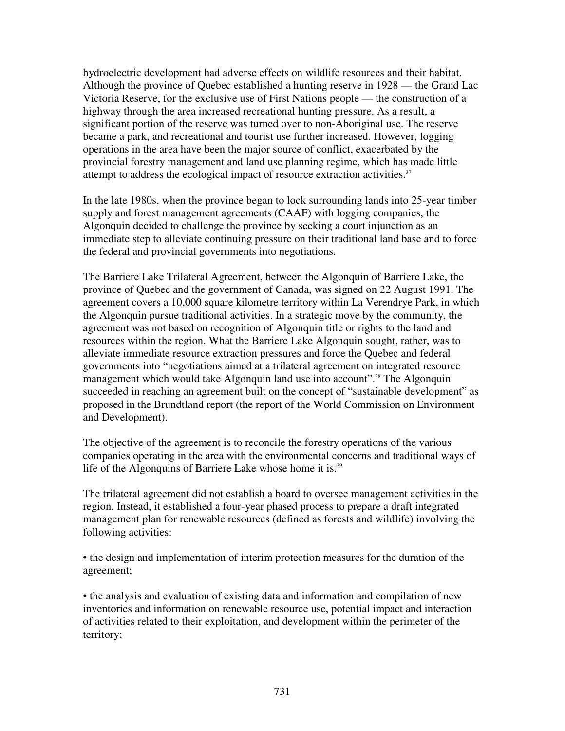hydroelectric development had adverse effects on wildlife resources and their habitat. Although the province of Quebec established a hunting reserve in 1928 — the Grand Lac Victoria Reserve, for the exclusive use of First Nations people — the construction of a highway through the area increased recreational hunting pressure. As a result, a significant portion of the reserve was turned over to non-Aboriginal use. The reserve became a park, and recreational and tourist use further increased. However, logging operations in the area have been the major source of conflict, exacerbated by the provincial forestry management and land use planning regime, which has made little attempt to address the ecological impact of resource extraction activities.<sup>37</sup>

In the late 1980s, when the province began to lock surrounding lands into 25-year timber supply and forest management agreements (CAAF) with logging companies, the Algonquin decided to challenge the province by seeking a court injunction as an immediate step to alleviate continuing pressure on their traditional land base and to force the federal and provincial governments into negotiations.

The Barriere Lake Trilateral Agreement, between the Algonquin of Barriere Lake, the province of Quebec and the government of Canada, was signed on 22 August 1991. The agreement covers a 10,000 square kilometre territory within La Verendrye Park, in which the Algonquin pursue traditional activities. In a strategic move by the community, the agreement was not based on recognition of Algonquin title or rights to the land and resources within the region. What the Barriere Lake Algonquin sought, rather, was to alleviate immediate resource extraction pressures and force the Quebec and federal governments into "negotiations aimed at a trilateral agreement on integrated resource management which would take Algonquin land use into account". <sup>38</sup> The Algonquin succeeded in reaching an agreement built on the concept of "sustainable development" as proposed in the Brundtland report (the report of the World Commission on Environment and Development).

The objective of the agreement is to reconcile the forestry operations of the various companies operating in the area with the environmental concerns and traditional ways of life of the Algonquins of Barriere Lake whose home it is.<sup>39</sup>

The trilateral agreement did not establish a board to oversee management activities in the region. Instead, it established a four-year phased process to prepare a draft integrated management plan for renewable resources (defined as forests and wildlife) involving the following activities:

• the design and implementation of interim protection measures for the duration of the agreement;

• the analysis and evaluation of existing data and information and compilation of new inventories and information on renewable resource use, potential impact and interaction of activities related to their exploitation, and development within the perimeter of the territory;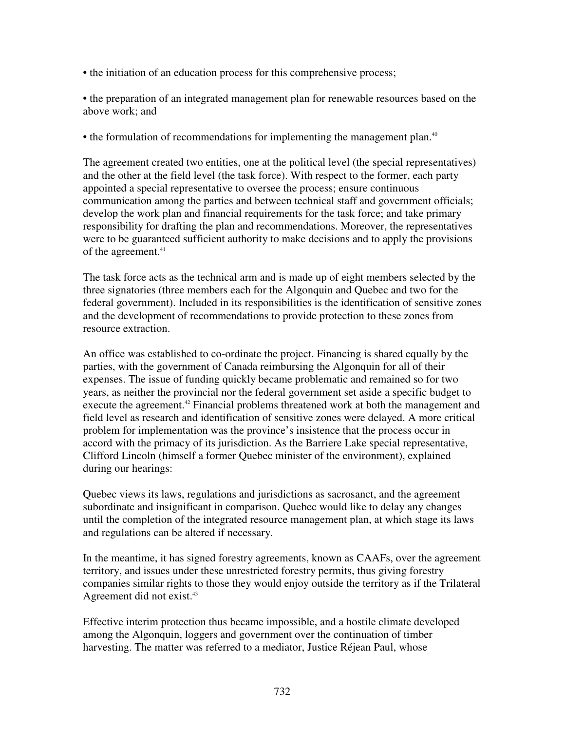• the initiation of an education process for this comprehensive process;

• the preparation of an integrated management plan for renewable resources based on the above work; and

• the formulation of recommendations for implementing the management plan.<sup>40</sup>

The agreement created two entities, one at the political level (the special representatives) and the other at the field level (the task force). With respect to the former, each party appointed a special representative to oversee the process; ensure continuous communication among the parties and between technical staff and government officials; develop the work plan and financial requirements for the task force; and take primary responsibility for drafting the plan and recommendations. Moreover, the representatives were to be guaranteed sufficient authority to make decisions and to apply the provisions of the agreement. 41

The task force acts as the technical arm and is made up of eight members selected by the three signatories (three members each for the Algonquin and Quebec and two for the federal government). Included in its responsibilities is the identification of sensitive zones and the development of recommendations to provide protection to these zones from resource extraction.

An office was established to co-ordinate the project. Financing is shared equally by the parties, with the government of Canada reimbursing the Algonquin for all of their expenses. The issue of funding quickly became problematic and remained so for two years, as neither the provincial nor the federal government set aside a specific budget to execute the agreement.<sup>42</sup> Financial problems threatened work at both the management and field level as research and identification of sensitive zones were delayed. A more critical problem for implementation was the province's insistence that the process occur in accord with the primacy of its jurisdiction. As the Barriere Lake special representative, Clifford Lincoln (himself a former Quebec minister of the environment), explained during our hearings:

Quebec views its laws, regulations and jurisdictions as sacrosanct, and the agreement subordinate and insignificant in comparison. Quebec would like to delay any changes until the completion of the integrated resource management plan, at which stage its laws and regulations can be altered if necessary.

In the meantime, it has signed forestry agreements, known as CAAFs, over the agreement territory, and issues under these unrestricted forestry permits, thus giving forestry companies similar rights to those they would enjoy outside the territory as if the Trilateral Agreement did not exist. 43

Effective interim protection thus became impossible, and a hostile climate developed among the Algonquin, loggers and government over the continuation of timber harvesting. The matter was referred to a mediator, Justice Réjean Paul, whose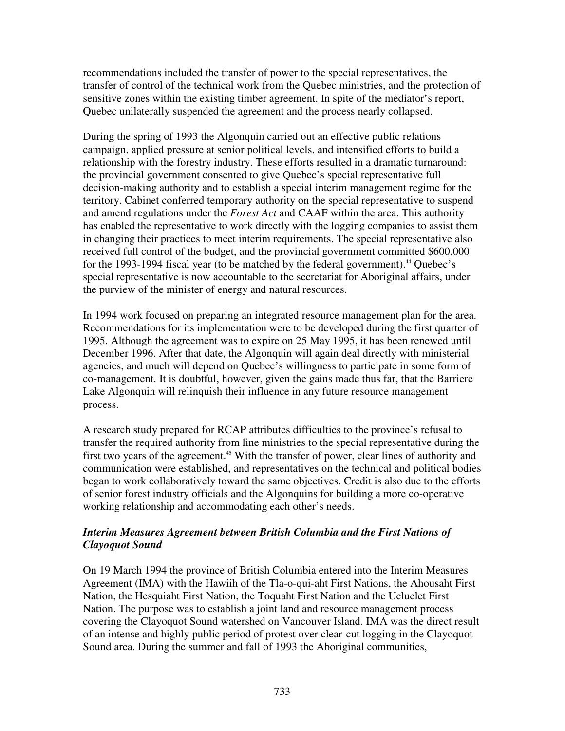recommendations included the transfer of power to the special representatives, the transfer of control of the technical work from the Quebec ministries, and the protection of sensitive zones within the existing timber agreement. In spite of the mediator's report, Quebec unilaterally suspended the agreement and the process nearly collapsed.

During the spring of 1993 the Algonquin carried out an effective public relations campaign, applied pressure at senior political levels, and intensified efforts to build a relationship with the forestry industry. These efforts resulted in a dramatic turnaround: the provincial government consented to give Quebec's special representative full decision-making authority and to establish a special interim management regime for the territory. Cabinet conferred temporary authority on the special representative to suspend and amend regulations under the *Forest Act* and CAAF within the area. This authority has enabled the representative to work directly with the logging companies to assist them in changing their practices to meet interim requirements. The special representative also received full control of the budget, and the provincial government committed \$600,000 for the 1993-1994 fiscal year (to be matched by the federal government). <sup>44</sup> Quebec's special representative is now accountable to the secretariat for Aboriginal affairs, under the purview of the minister of energy and natural resources.

In 1994 work focused on preparing an integrated resource management plan for the area. Recommendations for its implementation were to be developed during the first quarter of 1995. Although the agreement was to expire on 25 May 1995, it has been renewed until December 1996. After that date, the Algonquin will again deal directly with ministerial agencies, and much will depend on Quebec's willingness to participate in some form of co-management. It is doubtful, however, given the gains made thus far, that the Barriere Lake Algonquin will relinquish their influence in any future resource management process.

A research study prepared for RCAP attributes difficulties to the province's refusal to transfer the required authority from line ministries to the special representative during the first two years of the agreement.<sup>45</sup> With the transfer of power, clear lines of authority and communication were established, and representatives on the technical and political bodies began to work collaboratively toward the same objectives. Credit is also due to the efforts of senior forest industry officials and the Algonquins for building a more co-operative working relationship and accommodating each other's needs.

## *Interim Measures Agreement between British Columbia and the First Nations of Clayoquot Sound*

On 19 March 1994 the province of British Columbia entered into the Interim Measures Agreement (IMA) with the Hawiih of the Tla-o-qui-aht First Nations, the Ahousaht First Nation, the Hesquiaht First Nation, the Toquaht First Nation and the Ucluelet First Nation. The purpose was to establish a joint land and resource management process covering the Clayoquot Sound watershed on Vancouver Island. IMA was the direct result of an intense and highly public period of protest over clear-cut logging in the Clayoquot Sound area. During the summer and fall of 1993 the Aboriginal communities,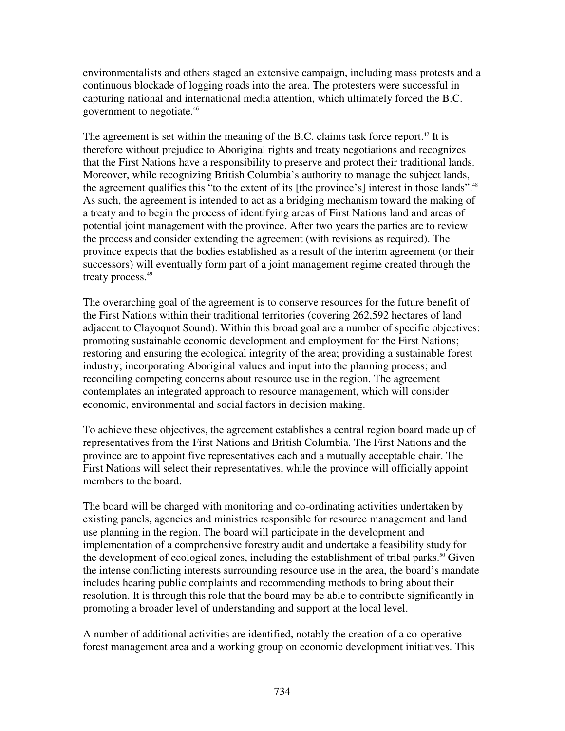environmentalists and others staged an extensive campaign, including mass protests and a continuous blockade of logging roads into the area. The protesters were successful in capturing national and international media attention, which ultimately forced the B.C. government to negotiate. 46

The agreement is set within the meaning of the B.C. claims task force report.<sup>47</sup> It is therefore without prejudice to Aboriginal rights and treaty negotiations and recognizes that the First Nations have a responsibility to preserve and protect their traditional lands. Moreover, while recognizing British Columbia's authority to manage the subject lands, the agreement qualifies this "to the extent of its [the province's] interest in those lands".<sup>48</sup> As such, the agreement is intended to act as a bridging mechanism toward the making of a treaty and to begin the process of identifying areas of First Nations land and areas of potential joint management with the province. After two years the parties are to review the process and consider extending the agreement (with revisions as required). The province expects that the bodies established as a result of the interim agreement (or their successors) will eventually form part of a joint management regime created through the treaty process. 49

The overarching goal of the agreement is to conserve resources for the future benefit of the First Nations within their traditional territories (covering 262,592 hectares of land adjacent to Clayoquot Sound). Within this broad goal are a number of specific objectives: promoting sustainable economic development and employment for the First Nations; restoring and ensuring the ecological integrity of the area; providing a sustainable forest industry; incorporating Aboriginal values and input into the planning process; and reconciling competing concerns about resource use in the region. The agreement contemplates an integrated approach to resource management, which will consider economic, environmental and social factors in decision making.

To achieve these objectives, the agreement establishes a central region board made up of representatives from the First Nations and British Columbia. The First Nations and the province are to appoint five representatives each and a mutually acceptable chair. The First Nations will select their representatives, while the province will officially appoint members to the board.

The board will be charged with monitoring and co-ordinating activities undertaken by existing panels, agencies and ministries responsible for resource management and land use planning in the region. The board will participate in the development and implementation of a comprehensive forestry audit and undertake a feasibility study for the development of ecological zones, including the establishment of tribal parks.<sup>50</sup> Given the intense conflicting interests surrounding resource use in the area, the board's mandate includes hearing public complaints and recommending methods to bring about their resolution. It is through this role that the board may be able to contribute significantly in promoting a broader level of understanding and support at the local level.

A number of additional activities are identified, notably the creation of a co-operative forest management area and a working group on economic development initiatives. This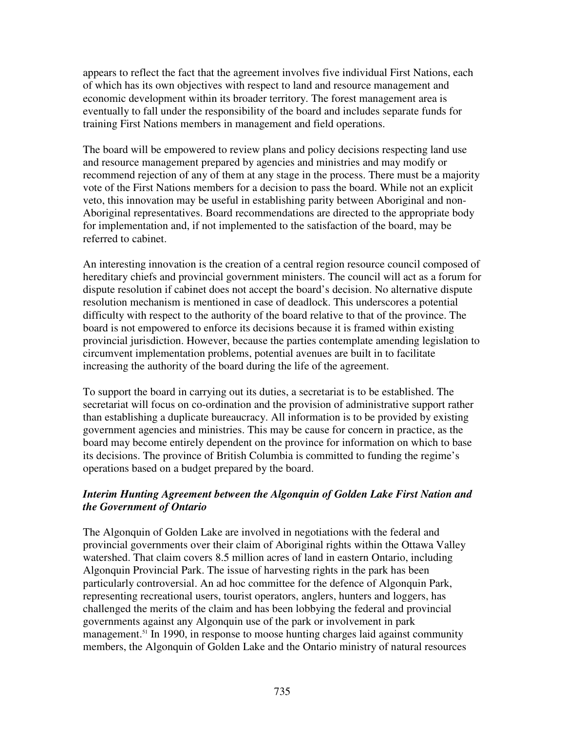appears to reflect the fact that the agreement involves five individual First Nations, each of which has its own objectives with respect to land and resource management and economic development within its broader territory. The forest management area is eventually to fall under the responsibility of the board and includes separate funds for training First Nations members in management and field operations.

The board will be empowered to review plans and policy decisions respecting land use and resource management prepared by agencies and ministries and may modify or recommend rejection of any of them at any stage in the process. There must be a majority vote of the First Nations members for a decision to pass the board. While not an explicit veto, this innovation may be useful in establishing parity between Aboriginal and non-Aboriginal representatives. Board recommendations are directed to the appropriate body for implementation and, if not implemented to the satisfaction of the board, may be referred to cabinet.

An interesting innovation is the creation of a central region resource council composed of hereditary chiefs and provincial government ministers. The council will act as a forum for dispute resolution if cabinet does not accept the board's decision. No alternative dispute resolution mechanism is mentioned in case of deadlock. This underscores a potential difficulty with respect to the authority of the board relative to that of the province. The board is not empowered to enforce its decisions because it is framed within existing provincial jurisdiction. However, because the parties contemplate amending legislation to circumvent implementation problems, potential avenues are built in to facilitate increasing the authority of the board during the life of the agreement.

To support the board in carrying out its duties, a secretariat is to be established. The secretariat will focus on co-ordination and the provision of administrative support rather than establishing a duplicate bureaucracy. All information is to be provided by existing government agencies and ministries. This may be cause for concern in practice, as the board may become entirely dependent on the province for information on which to base its decisions. The province of British Columbia is committed to funding the regime's operations based on a budget prepared by the board.

## *Interim Hunting Agreement between the Algonquin of Golden Lake First Nation and the Government of Ontario*

The Algonquin of Golden Lake are involved in negotiations with the federal and provincial governments over their claim of Aboriginal rights within the Ottawa Valley watershed. That claim covers 8.5 million acres of land in eastern Ontario, including Algonquin Provincial Park. The issue of harvesting rights in the park has been particularly controversial. An ad hoc committee for the defence of Algonquin Park, representing recreational users, tourist operators, anglers, hunters and loggers, has challenged the merits of the claim and has been lobbying the federal and provincial governments against any Algonquin use of the park or involvement in park management.<sup>51</sup> In 1990, in response to moose hunting charges laid against community members, the Algonquin of Golden Lake and the Ontario ministry of natural resources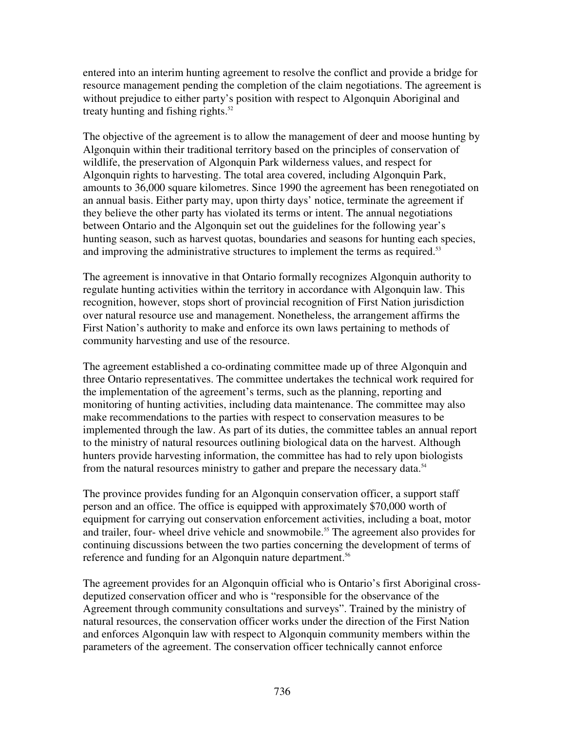entered into an interim hunting agreement to resolve the conflict and provide a bridge for resource management pending the completion of the claim negotiations. The agreement is without prejudice to either party's position with respect to Algonquin Aboriginal and treaty hunting and fishing rights. 52

The objective of the agreement is to allow the management of deer and moose hunting by Algonquin within their traditional territory based on the principles of conservation of wildlife, the preservation of Algonquin Park wilderness values, and respect for Algonquin rights to harvesting. The total area covered, including Algonquin Park, amounts to 36,000 square kilometres. Since 1990 the agreement has been renegotiated on an annual basis. Either party may, upon thirty days' notice, terminate the agreement if they believe the other party has violated its terms or intent. The annual negotiations between Ontario and the Algonquin set out the guidelines for the following year's hunting season, such as harvest quotas, boundaries and seasons for hunting each species, and improving the administrative structures to implement the terms as required.<sup>53</sup>

The agreement is innovative in that Ontario formally recognizes Algonquin authority to regulate hunting activities within the territory in accordance with Algonquin law. This recognition, however, stops short of provincial recognition of First Nation jurisdiction over natural resource use and management. Nonetheless, the arrangement affirms the First Nation's authority to make and enforce its own laws pertaining to methods of community harvesting and use of the resource.

The agreement established a co-ordinating committee made up of three Algonquin and three Ontario representatives. The committee undertakes the technical work required for the implementation of the agreement's terms, such as the planning, reporting and monitoring of hunting activities, including data maintenance. The committee may also make recommendations to the parties with respect to conservation measures to be implemented through the law. As part of its duties, the committee tables an annual report to the ministry of natural resources outlining biological data on the harvest. Although hunters provide harvesting information, the committee has had to rely upon biologists from the natural resources ministry to gather and prepare the necessary data.<sup>54</sup>

The province provides funding for an Algonquin conservation officer, a support staff person and an office. The office is equipped with approximately \$70,000 worth of equipment for carrying out conservation enforcement activities, including a boat, motor and trailer, four- wheel drive vehicle and snowmobile. <sup>55</sup> The agreement also provides for continuing discussions between the two parties concerning the development of terms of reference and funding for an Algonquin nature department.<sup>56</sup>

The agreement provides for an Algonquin official who is Ontario's first Aboriginal crossdeputized conservation officer and who is "responsible for the observance of the Agreement through community consultations and surveys". Trained by the ministry of natural resources, the conservation officer works under the direction of the First Nation and enforces Algonquin law with respect to Algonquin community members within the parameters of the agreement. The conservation officer technically cannot enforce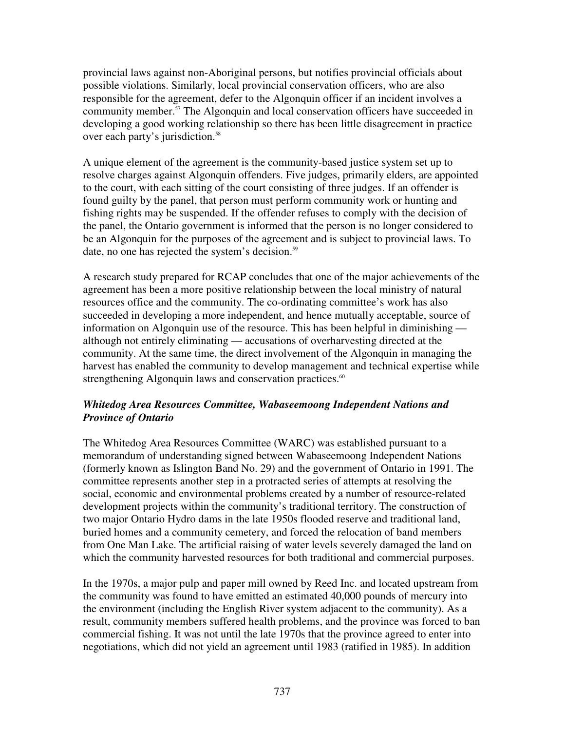provincial laws against non-Aboriginal persons, but notifies provincial officials about possible violations. Similarly, local provincial conservation officers, who are also responsible for the agreement, defer to the Algonquin officer if an incident involves a community member. <sup>57</sup> The Algonquin and local conservation officers have succeeded in developing a good working relationship so there has been little disagreement in practice over each party's jurisdiction. 58

A unique element of the agreement is the community-based justice system set up to resolve charges against Algonquin offenders. Five judges, primarily elders, are appointed to the court, with each sitting of the court consisting of three judges. If an offender is found guilty by the panel, that person must perform community work or hunting and fishing rights may be suspended. If the offender refuses to comply with the decision of the panel, the Ontario government is informed that the person is no longer considered to be an Algonquin for the purposes of the agreement and is subject to provincial laws. To date, no one has rejected the system's decision. 59

A research study prepared for RCAP concludes that one of the major achievements of the agreement has been a more positive relationship between the local ministry of natural resources office and the community. The co-ordinating committee's work has also succeeded in developing a more independent, and hence mutually acceptable, source of information on Algonquin use of the resource. This has been helpful in diminishing although not entirely eliminating — accusations of overharvesting directed at the community. At the same time, the direct involvement of the Algonquin in managing the harvest has enabled the community to develop management and technical expertise while strengthening Algonquin laws and conservation practices.<sup>60</sup>

## *Whitedog Area Resources Committee, Wabaseemoong Independent Nations and Province of Ontario*

The Whitedog Area Resources Committee (WARC) was established pursuant to a memorandum of understanding signed between Wabaseemoong Independent Nations (formerly known as Islington Band No. 29) and the government of Ontario in 1991. The committee represents another step in a protracted series of attempts at resolving the social, economic and environmental problems created by a number of resource-related development projects within the community's traditional territory. The construction of two major Ontario Hydro dams in the late 1950s flooded reserve and traditional land, buried homes and a community cemetery, and forced the relocation of band members from One Man Lake. The artificial raising of water levels severely damaged the land on which the community harvested resources for both traditional and commercial purposes.

In the 1970s, a major pulp and paper mill owned by Reed Inc. and located upstream from the community was found to have emitted an estimated 40,000 pounds of mercury into the environment (including the English River system adjacent to the community). As a result, community members suffered health problems, and the province was forced to ban commercial fishing. It was not until the late 1970s that the province agreed to enter into negotiations, which did not yield an agreement until 1983 (ratified in 1985). In addition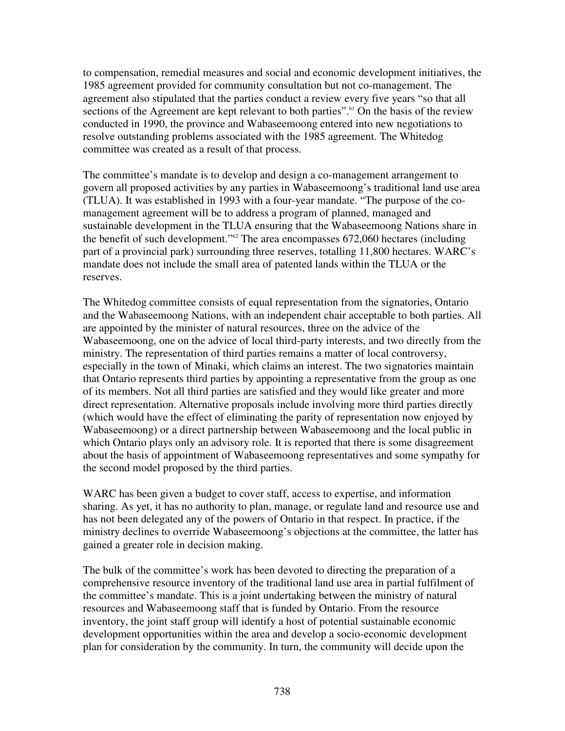to compensation, remedial measures and social and economic development initiatives, the 1985 agreement provided for community consultation but not co-management. The agreement also stipulated that the parties conduct a review every five years "so that all sections of the Agreement are kept relevant to both parties".<sup>61</sup> On the basis of the review conducted in 1990, the province and Wabaseemoong entered into new negotiations to resolve outstanding problems associated with the 1985 agreement. The Whitedog committee was created as a result of that process.

The committee's mandate is to develop and design a co-management arrangement to govern all proposed activities by any parties in Wabaseemoong's traditional land use area (TLUA). It was established in 1993 with a four-year mandate. "The purpose of the comanagement agreement will be to address a program of planned, managed and sustainable development in the TLUA ensuring that the Wabaseemoong Nations share in the benefit of such development." <sup>62</sup> The area encompasses 672,060 hectares (including part of a provincial park) surrounding three reserves, totalling 11,800 hectares. WARC's mandate does not include the small area of patented lands within the TLUA or the reserves.

The Whitedog committee consists of equal representation from the signatories, Ontario and the Wabaseemoong Nations, with an independent chair acceptable to both parties. All are appointed by the minister of natural resources, three on the advice of the Wabaseemoong, one on the advice of local third-party interests, and two directly from the ministry. The representation of third parties remains a matter of local controversy, especially in the town of Minaki, which claims an interest. The two signatories maintain that Ontario represents third parties by appointing a representative from the group as one of its members. Not all third parties are satisfied and they would like greater and more direct representation. Alternative proposals include involving more third parties directly (which would have the effect of eliminating the parity of representation now enjoyed by Wabaseemoong) or a direct partnership between Wabaseemoong and the local public in which Ontario plays only an advisory role. It is reported that there is some disagreement about the basis of appointment of Wabaseemoong representatives and some sympathy for the second model proposed by the third parties.

WARC has been given a budget to cover staff, access to expertise, and information sharing. As yet, it has no authority to plan, manage, or regulate land and resource use and has not been delegated any of the powers of Ontario in that respect. In practice, if the ministry declines to override Wabaseemoong's objections at the committee, the latter has gained a greater role in decision making.

The bulk of the committee's work has been devoted to directing the preparation of a comprehensive resource inventory of the traditional land use area in partial fulfilment of the committee's mandate. This is a joint undertaking between the ministry of natural resources and Wabaseemoong staff that is funded by Ontario. From the resource inventory, the joint staff group will identify a host of potential sustainable economic development opportunities within the area and develop a socio-economic development plan for consideration by the community. In turn, the community will decide upon the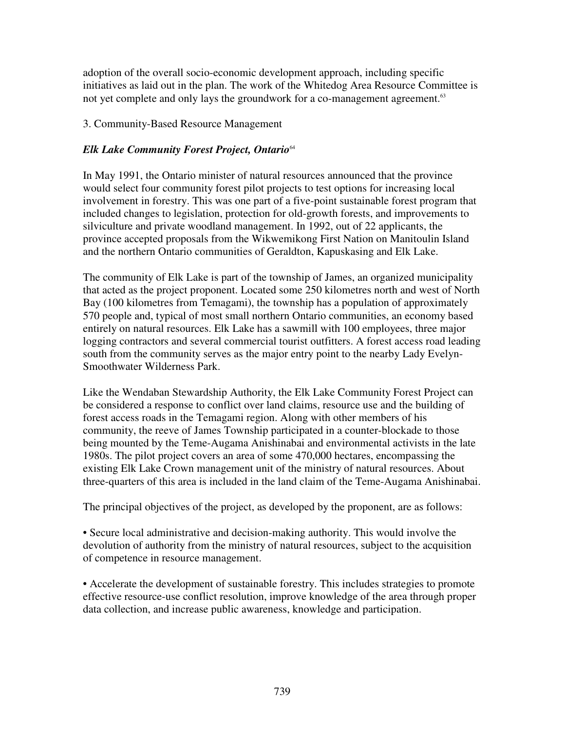adoption of the overall socio-economic development approach, including specific initiatives as laid out in the plan. The work of the Whitedog Area Resource Committee is not yet complete and only lays the groundwork for a co-management agreement.<sup>63</sup>

## 3. Community-Based Resource Management

## *Elk Lake Community Forest Project, Ontario* 64

In May 1991, the Ontario minister of natural resources announced that the province would select four community forest pilot projects to test options for increasing local involvement in forestry. This was one part of a five-point sustainable forest program that included changes to legislation, protection for old-growth forests, and improvements to silviculture and private woodland management. In 1992, out of 22 applicants, the province accepted proposals from the Wikwemikong First Nation on Manitoulin Island and the northern Ontario communities of Geraldton, Kapuskasing and Elk Lake.

The community of Elk Lake is part of the township of James, an organized municipality that acted as the project proponent. Located some 250 kilometres north and west of North Bay (100 kilometres from Temagami), the township has a population of approximately 570 people and, typical of most small northern Ontario communities, an economy based entirely on natural resources. Elk Lake has a sawmill with 100 employees, three major logging contractors and several commercial tourist outfitters. A forest access road leading south from the community serves as the major entry point to the nearby Lady Evelyn-Smoothwater Wilderness Park.

Like the Wendaban Stewardship Authority, the Elk Lake Community Forest Project can be considered a response to conflict over land claims, resource use and the building of forest access roads in the Temagami region. Along with other members of his community, the reeve of James Township participated in a counter-blockade to those being mounted by the Teme-Augama Anishinabai and environmental activists in the late 1980s. The pilot project covers an area of some 470,000 hectares, encompassing the existing Elk Lake Crown management unit of the ministry of natural resources. About three-quarters of this area is included in the land claim of the Teme-Augama Anishinabai.

The principal objectives of the project, as developed by the proponent, are as follows:

• Secure local administrative and decision-making authority. This would involve the devolution of authority from the ministry of natural resources, subject to the acquisition of competence in resource management.

• Accelerate the development of sustainable forestry. This includes strategies to promote effective resource-use conflict resolution, improve knowledge of the area through proper data collection, and increase public awareness, knowledge and participation.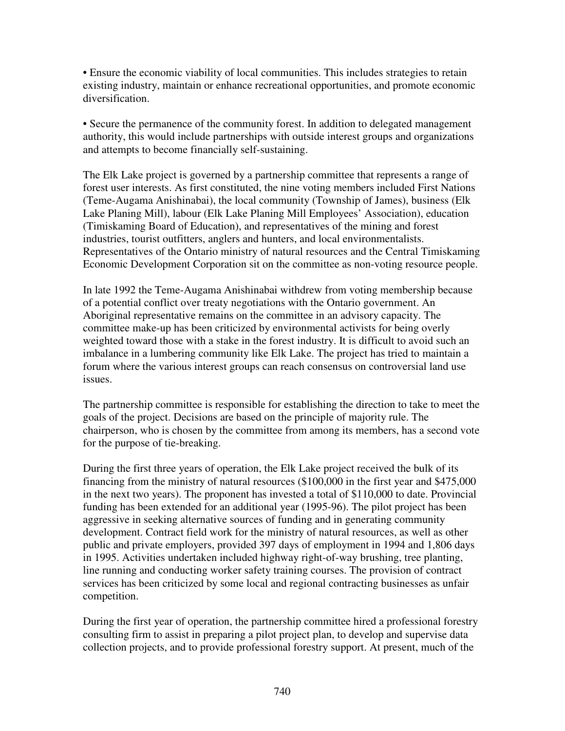• Ensure the economic viability of local communities. This includes strategies to retain existing industry, maintain or enhance recreational opportunities, and promote economic diversification.

• Secure the permanence of the community forest. In addition to delegated management authority, this would include partnerships with outside interest groups and organizations and attempts to become financially self-sustaining.

The Elk Lake project is governed by a partnership committee that represents a range of forest user interests. As first constituted, the nine voting members included First Nations (Teme-Augama Anishinabai), the local community (Township of James), business (Elk Lake Planing Mill), labour (Elk Lake Planing Mill Employees' Association), education (Timiskaming Board of Education), and representatives of the mining and forest industries, tourist outfitters, anglers and hunters, and local environmentalists. Representatives of the Ontario ministry of natural resources and the Central Timiskaming Economic Development Corporation sit on the committee as non-voting resource people.

In late 1992 the Teme-Augama Anishinabai withdrew from voting membership because of a potential conflict over treaty negotiations with the Ontario government. An Aboriginal representative remains on the committee in an advisory capacity. The committee make-up has been criticized by environmental activists for being overly weighted toward those with a stake in the forest industry. It is difficult to avoid such an imbalance in a lumbering community like Elk Lake. The project has tried to maintain a forum where the various interest groups can reach consensus on controversial land use issues.

The partnership committee is responsible for establishing the direction to take to meet the goals of the project. Decisions are based on the principle of majority rule. The chairperson, who is chosen by the committee from among its members, has a second vote for the purpose of tie-breaking.

During the first three years of operation, the Elk Lake project received the bulk of its financing from the ministry of natural resources (\$100,000 in the first year and \$475,000 in the next two years). The proponent has invested a total of \$110,000 to date. Provincial funding has been extended for an additional year (1995-96). The pilot project has been aggressive in seeking alternative sources of funding and in generating community development. Contract field work for the ministry of natural resources, as well as other public and private employers, provided 397 days of employment in 1994 and 1,806 days in 1995. Activities undertaken included highway right-of-way brushing, tree planting, line running and conducting worker safety training courses. The provision of contract services has been criticized by some local and regional contracting businesses as unfair competition.

During the first year of operation, the partnership committee hired a professional forestry consulting firm to assist in preparing a pilot project plan, to develop and supervise data collection projects, and to provide professional forestry support. At present, much of the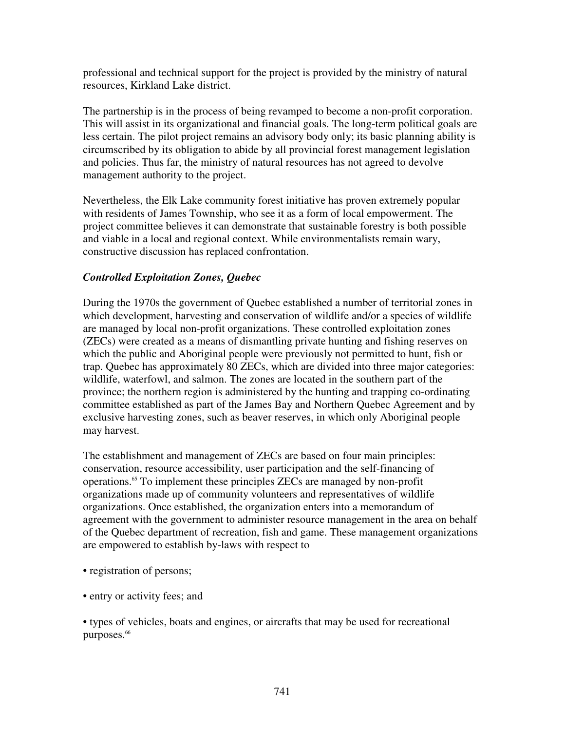professional and technical support for the project is provided by the ministry of natural resources, Kirkland Lake district.

The partnership is in the process of being revamped to become a non-profit corporation. This will assist in its organizational and financial goals. The long-term political goals are less certain. The pilot project remains an advisory body only; its basic planning ability is circumscribed by its obligation to abide by all provincial forest management legislation and policies. Thus far, the ministry of natural resources has not agreed to devolve management authority to the project.

Nevertheless, the Elk Lake community forest initiative has proven extremely popular with residents of James Township, who see it as a form of local empowerment. The project committee believes it can demonstrate that sustainable forestry is both possible and viable in a local and regional context. While environmentalists remain wary, constructive discussion has replaced confrontation.

## *Controlled Exploitation Zones, Quebec*

During the 1970s the government of Quebec established a number of territorial zones in which development, harvesting and conservation of wildlife and/or a species of wildlife are managed by local non-profit organizations. These controlled exploitation zones (ZECs) were created as a means of dismantling private hunting and fishing reserves on which the public and Aboriginal people were previously not permitted to hunt, fish or trap. Quebec has approximately 80 ZECs, which are divided into three major categories: wildlife, waterfowl, and salmon. The zones are located in the southern part of the province; the northern region is administered by the hunting and trapping co-ordinating committee established as part of the James Bay and Northern Quebec Agreement and by exclusive harvesting zones, such as beaver reserves, in which only Aboriginal people may harvest.

The establishment and management of ZECs are based on four main principles: conservation, resource accessibility, user participation and the self-financing of operations. <sup>65</sup> To implement these principles ZECs are managed by non-profit organizations made up of community volunteers and representatives of wildlife organizations. Once established, the organization enters into a memorandum of agreement with the government to administer resource management in the area on behalf of the Quebec department of recreation, fish and game. These management organizations are empowered to establish by-laws with respect to

- registration of persons;
- entry or activity fees; and

• types of vehicles, boats and engines, or aircrafts that may be used for recreational purposes. 66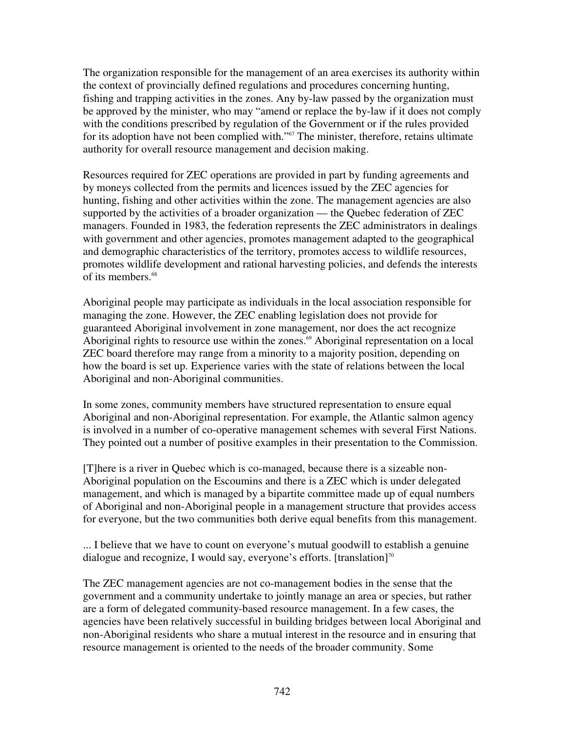The organization responsible for the management of an area exercises its authority within the context of provincially defined regulations and procedures concerning hunting, fishing and trapping activities in the zones. Any by-law passed by the organization must be approved by the minister, who may "amend or replace the by-law if it does not comply with the conditions prescribed by regulation of the Government or if the rules provided for its adoption have not been complied with."<sup>67</sup> The minister, therefore, retains ultimate authority for overall resource management and decision making.

Resources required for ZEC operations are provided in part by funding agreements and by moneys collected from the permits and licences issued by the ZEC agencies for hunting, fishing and other activities within the zone. The management agencies are also supported by the activities of a broader organization — the Quebec federation of ZEC managers. Founded in 1983, the federation represents the ZEC administrators in dealings with government and other agencies, promotes management adapted to the geographical and demographic characteristics of the territory, promotes access to wildlife resources, promotes wildlife development and rational harvesting policies, and defends the interests of its members. 68

Aboriginal people may participate as individuals in the local association responsible for managing the zone. However, the ZEC enabling legislation does not provide for guaranteed Aboriginal involvement in zone management, nor does the act recognize Aboriginal rights to resource use within the zones. <sup>69</sup> Aboriginal representation on a local ZEC board therefore may range from a minority to a majority position, depending on how the board is set up. Experience varies with the state of relations between the local Aboriginal and non-Aboriginal communities.

In some zones, community members have structured representation to ensure equal Aboriginal and non-Aboriginal representation. For example, the Atlantic salmon agency is involved in a number of co-operative management schemes with several First Nations. They pointed out a number of positive examples in their presentation to the Commission.

[T]here is a river in Quebec which is co-managed, because there is a sizeable non-Aboriginal population on the Escoumins and there is a ZEC which is under delegated management, and which is managed by a bipartite committee made up of equal numbers of Aboriginal and non-Aboriginal people in a management structure that provides access for everyone, but the two communities both derive equal benefits from this management.

... I believe that we have to count on everyone's mutual goodwill to establish a genuine dialogue and recognize, I would say, everyone's efforts. [translation]<sup>70</sup>

The ZEC management agencies are not co-management bodies in the sense that the government and a community undertake to jointly manage an area or species, but rather are a form of delegated community-based resource management. In a few cases, the agencies have been relatively successful in building bridges between local Aboriginal and non-Aboriginal residents who share a mutual interest in the resource and in ensuring that resource management is oriented to the needs of the broader community. Some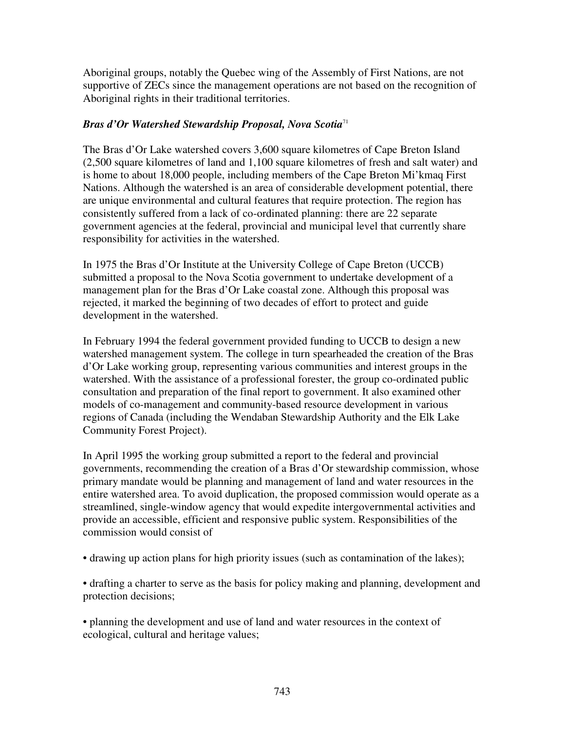Aboriginal groups, notably the Quebec wing of the Assembly of First Nations, are not supportive of ZECs since the management operations are not based on the recognition of Aboriginal rights in their traditional territories.

## *Bras d'Or Watershed Stewardship Proposal, Nova Scotia* 71

The Bras d'Or Lake watershed covers 3,600 square kilometres of Cape Breton Island (2,500 square kilometres of land and 1,100 square kilometres of fresh and salt water) and is home to about 18,000 people, including members of the Cape Breton Mi'kmaq First Nations. Although the watershed is an area of considerable development potential, there are unique environmental and cultural features that require protection. The region has consistently suffered from a lack of co-ordinated planning: there are 22 separate government agencies at the federal, provincial and municipal level that currently share responsibility for activities in the watershed.

In 1975 the Bras d'Or Institute at the University College of Cape Breton (UCCB) submitted a proposal to the Nova Scotia government to undertake development of a management plan for the Bras d'Or Lake coastal zone. Although this proposal was rejected, it marked the beginning of two decades of effort to protect and guide development in the watershed.

In February 1994 the federal government provided funding to UCCB to design a new watershed management system. The college in turn spearheaded the creation of the Bras d'Or Lake working group, representing various communities and interest groups in the watershed. With the assistance of a professional forester, the group co-ordinated public consultation and preparation of the final report to government. It also examined other models of co-management and community-based resource development in various regions of Canada (including the Wendaban Stewardship Authority and the Elk Lake Community Forest Project).

In April 1995 the working group submitted a report to the federal and provincial governments, recommending the creation of a Bras d'Or stewardship commission, whose primary mandate would be planning and management of land and water resources in the entire watershed area. To avoid duplication, the proposed commission would operate as a streamlined, single-window agency that would expedite intergovernmental activities and provide an accessible, efficient and responsive public system. Responsibilities of the commission would consist of

• drawing up action plans for high priority issues (such as contamination of the lakes);

• drafting a charter to serve as the basis for policy making and planning, development and protection decisions;

• planning the development and use of land and water resources in the context of ecological, cultural and heritage values;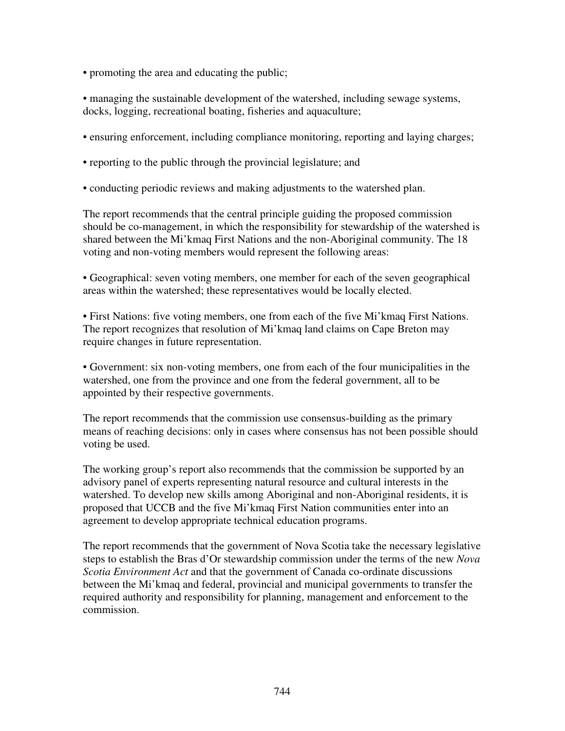• promoting the area and educating the public;

• managing the sustainable development of the watershed, including sewage systems, docks, logging, recreational boating, fisheries and aquaculture;

- ensuring enforcement, including compliance monitoring, reporting and laying charges;
- reporting to the public through the provincial legislature; and
- conducting periodic reviews and making adjustments to the watershed plan.

The report recommends that the central principle guiding the proposed commission should be co-management, in which the responsibility for stewardship of the watershed is shared between the Mi'kmaq First Nations and the non-Aboriginal community. The 18 voting and non-voting members would represent the following areas:

• Geographical: seven voting members, one member for each of the seven geographical areas within the watershed; these representatives would be locally elected.

• First Nations: five voting members, one from each of the five Mi'kmaq First Nations. The report recognizes that resolution of Mi'kmaq land claims on Cape Breton may require changes in future representation.

• Government: six non-voting members, one from each of the four municipalities in the watershed, one from the province and one from the federal government, all to be appointed by their respective governments.

The report recommends that the commission use consensus-building as the primary means of reaching decisions: only in cases where consensus has not been possible should voting be used.

The working group's report also recommends that the commission be supported by an advisory panel of experts representing natural resource and cultural interests in the watershed. To develop new skills among Aboriginal and non-Aboriginal residents, it is proposed that UCCB and the five Mi'kmaq First Nation communities enter into an agreement to develop appropriate technical education programs.

The report recommends that the government of Nova Scotia take the necessary legislative steps to establish the Bras d'Or stewardship commission under the terms of the new *Nova Scotia Environment Act* and that the government of Canada co-ordinate discussions between the Mi'kmaq and federal, provincial and municipal governments to transfer the required authority and responsibility for planning, management and enforcement to the commission.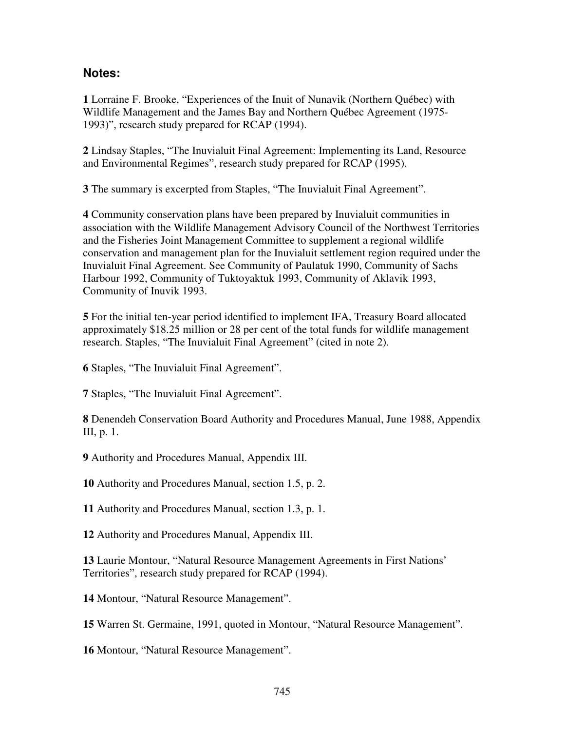## **Notes:**

**1** Lorraine F. Brooke, "Experiences of the Inuit of Nunavik (Northern Québec) with Wildlife Management and the James Bay and Northern Québec Agreement (1975- 1993)", research study prepared for RCAP (1994).

**2** Lindsay Staples, "The Inuvialuit Final Agreement: Implementing its Land, Resource and Environmental Regimes", research study prepared for RCAP (1995).

**3** The summary is excerpted from Staples, "The Inuvialuit Final Agreement".

**4** Community conservation plans have been prepared by Inuvialuit communities in association with the Wildlife Management Advisory Council of the Northwest Territories and the Fisheries Joint Management Committee to supplement a regional wildlife conservation and management plan for the Inuvialuit settlement region required under the Inuvialuit Final Agreement. See Community of Paulatuk 1990, Community of Sachs Harbour 1992, Community of Tuktoyaktuk 1993, Community of Aklavik 1993, Community of Inuvik 1993.

**5** For the initial ten-year period identified to implement IFA, Treasury Board allocated approximately \$18.25 million or 28 per cent of the total funds for wildlife management research. Staples, "The Inuvialuit Final Agreement" (cited in note 2).

**6** Staples, "The Inuvialuit Final Agreement".

**7** Staples, "The Inuvialuit Final Agreement".

**8** Denendeh Conservation Board Authority and Procedures Manual, June 1988, Appendix III, p. 1.

**9** Authority and Procedures Manual, Appendix III.

**10** Authority and Procedures Manual, section 1.5, p. 2.

**11** Authority and Procedures Manual, section 1.3, p. 1.

**12** Authority and Procedures Manual, Appendix III.

**13** Laurie Montour, "Natural Resource Management Agreements in First Nations' Territories", research study prepared for RCAP (1994).

**14** Montour, "Natural Resource Management".

**15** Warren St. Germaine, 1991, quoted in Montour, "Natural Resource Management".

**16** Montour, "Natural Resource Management".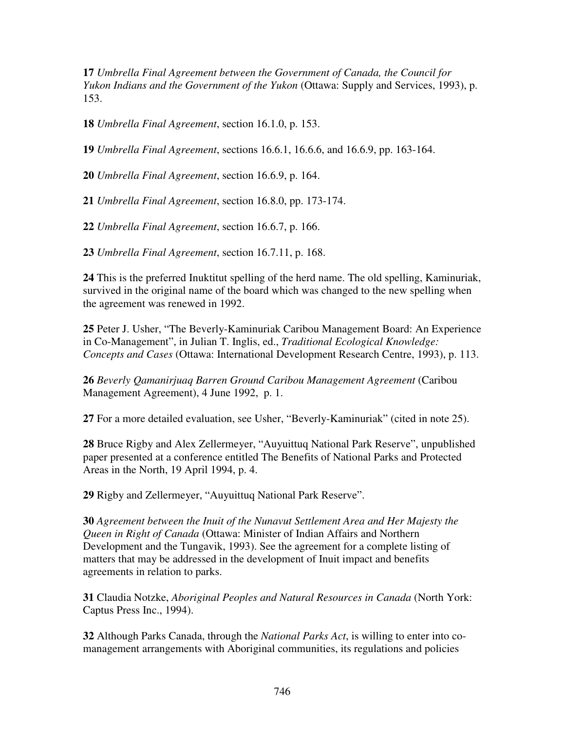**17** *Umbrella Final Agreement between the Government of Canada, the Council for Yukon Indians and the Government of the Yukon* (Ottawa: Supply and Services, 1993), p. 153.

**18** *Umbrella Final Agreement*, section 16.1.0, p. 153.

**19** *Umbrella Final Agreement*, sections 16.6.1, 16.6.6, and 16.6.9, pp. 163-164.

**20** *Umbrella Final Agreement*, section 16.6.9, p. 164.

**21** *Umbrella Final Agreement*, section 16.8.0, pp. 173-174.

**22** *Umbrella Final Agreement*, section 16.6.7, p. 166.

**23** *Umbrella Final Agreement*, section 16.7.11, p. 168.

**24** This is the preferred Inuktitut spelling of the herd name. The old spelling, Kaminuriak, survived in the original name of the board which was changed to the new spelling when the agreement was renewed in 1992.

**25** Peter J. Usher, "The Beverly-Kaminuriak Caribou Management Board: An Experience in Co-Management", in Julian T. Inglis, ed., *Traditional Ecological Knowledge: Concepts and Cases* (Ottawa: International Development Research Centre, 1993), p. 113.

**26** *Beverly Qamanirjuaq Barren Ground Caribou Management Agreement* (Caribou Management Agreement), 4 June 1992, p. 1.

**27** For a more detailed evaluation, see Usher, "Beverly-Kaminuriak" (cited in note 25).

**28** Bruce Rigby and Alex Zellermeyer, "Auyuittuq National Park Reserve", unpublished paper presented at a conference entitled The Benefits of National Parks and Protected Areas in the North, 19 April 1994, p. 4.

**29** Rigby and Zellermeyer, "Auyuittuq National Park Reserve".

**30** *Agreement between the Inuit of the Nunavut Settlement Area and Her Majesty the Queen in Right of Canada* (Ottawa: Minister of Indian Affairs and Northern Development and the Tungavik, 1993). See the agreement for a complete listing of matters that may be addressed in the development of Inuit impact and benefits agreements in relation to parks.

**31** Claudia Notzke, *Aboriginal Peoples and Natural Resources in Canada* (North York: Captus Press Inc., 1994).

**32** Although Parks Canada, through the *National Parks Act*, is willing to enter into comanagement arrangements with Aboriginal communities, its regulations and policies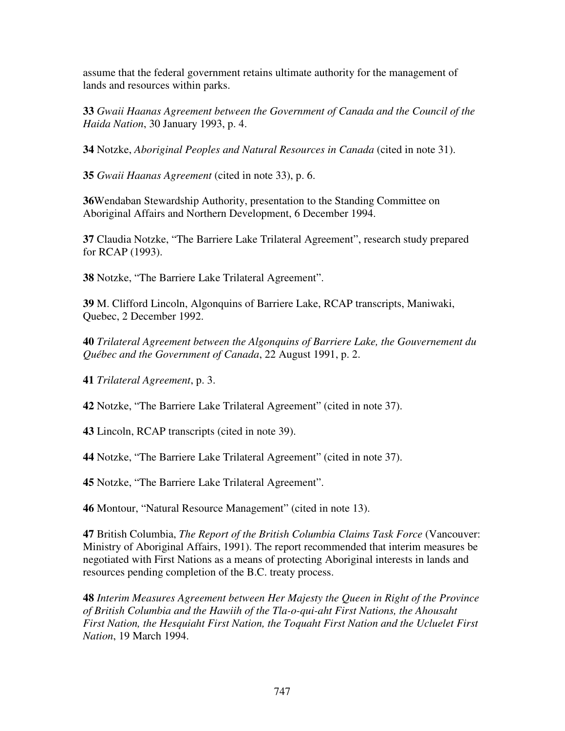assume that the federal government retains ultimate authority for the management of lands and resources within parks.

**33** *Gwaii Haanas Agreement between the Government of Canada and the Council of the Haida Nation*, 30 January 1993, p. 4.

**34** Notzke, *Aboriginal Peoples and Natural Resources in Canada* (cited in note 31).

**35** *Gwaii Haanas Agreement* (cited in note 33), p. 6.

**36**Wendaban Stewardship Authority, presentation to the Standing Committee on Aboriginal Affairs and Northern Development, 6 December 1994.

**37** Claudia Notzke, "The Barriere Lake Trilateral Agreement", research study prepared for RCAP (1993).

**38** Notzke, "The Barriere Lake Trilateral Agreement".

**39** M. Clifford Lincoln, Algonquins of Barriere Lake, RCAP transcripts, Maniwaki, Quebec, 2 December 1992.

**40** *Trilateral Agreement between the Algonquins of Barriere Lake, the Gouvernement du Québec and the Government of Canada*, 22 August 1991, p. 2.

**41** *Trilateral Agreement*, p. 3.

**42** Notzke, "The Barriere Lake Trilateral Agreement" (cited in note 37).

**43** Lincoln, RCAP transcripts (cited in note 39).

**44** Notzke, "The Barriere Lake Trilateral Agreement" (cited in note 37).

**45** Notzke, "The Barriere Lake Trilateral Agreement".

**46** Montour, "Natural Resource Management" (cited in note 13).

**47** British Columbia, *The Report of the British Columbia Claims Task Force* (Vancouver: Ministry of Aboriginal Affairs, 1991). The report recommended that interim measures be negotiated with First Nations as a means of protecting Aboriginal interests in lands and resources pending completion of the B.C. treaty process.

**48** *Interim Measures Agreement between Her Majesty the Queen in Right of the Province of British Columbia and the Hawiih of the Tla-o-qui-aht First Nations, the Ahousaht First Nation, the Hesquiaht First Nation, the Toquaht First Nation and the Ucluelet First Nation*, 19 March 1994.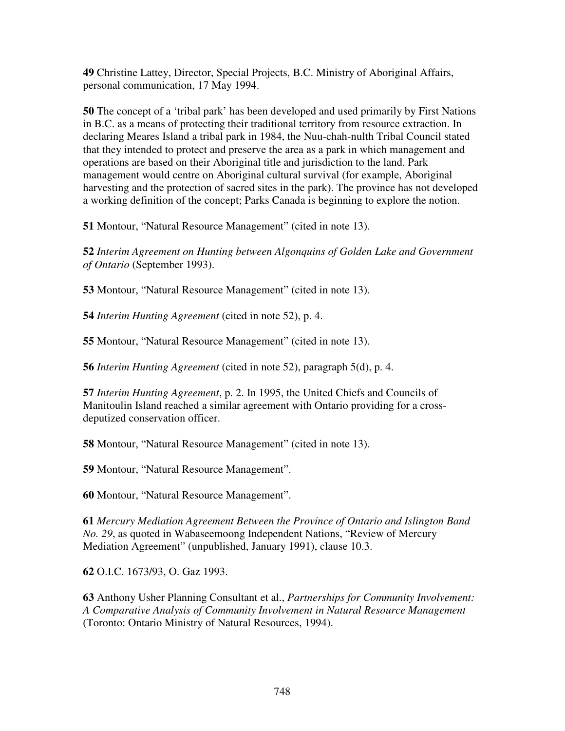**49** Christine Lattey, Director, Special Projects, B.C. Ministry of Aboriginal Affairs, personal communication, 17 May 1994.

**50** The concept of a 'tribal park' has been developed and used primarily by First Nations in B.C. as a means of protecting their traditional territory from resource extraction. In declaring Meares Island a tribal park in 1984, the Nuu-chah-nulth Tribal Council stated that they intended to protect and preserve the area as a park in which management and operations are based on their Aboriginal title and jurisdiction to the land. Park management would centre on Aboriginal cultural survival (for example, Aboriginal harvesting and the protection of sacred sites in the park). The province has not developed a working definition of the concept; Parks Canada is beginning to explore the notion.

**51** Montour, "Natural Resource Management" (cited in note 13).

**52** *Interim Agreement on Hunting between Algonquins of Golden Lake and Government of Ontario* (September 1993).

**53** Montour, "Natural Resource Management" (cited in note 13).

**54** *Interim Hunting Agreement* (cited in note 52), p. 4.

**55** Montour, "Natural Resource Management" (cited in note 13).

**56** *Interim Hunting Agreement* (cited in note 52), paragraph 5(d), p. 4.

**57** *Interim Hunting Agreement*, p. 2. In 1995, the United Chiefs and Councils of Manitoulin Island reached a similar agreement with Ontario providing for a crossdeputized conservation officer.

**58** Montour, "Natural Resource Management" (cited in note 13).

**59** Montour, "Natural Resource Management".

**60** Montour, "Natural Resource Management".

**61** *Mercury Mediation Agreement Between the Province of Ontario and Islington Band No. 29*, as quoted in Wabaseemoong Independent Nations, "Review of Mercury Mediation Agreement" (unpublished, January 1991), clause 10.3.

**62** O.I.C. 1673/93, O. Gaz 1993.

**63** Anthony Usher Planning Consultant et al., *Partnerships for Community Involvement: A Comparative Analysis of Community Involvement in Natural Resource Management* (Toronto: Ontario Ministry of Natural Resources, 1994).